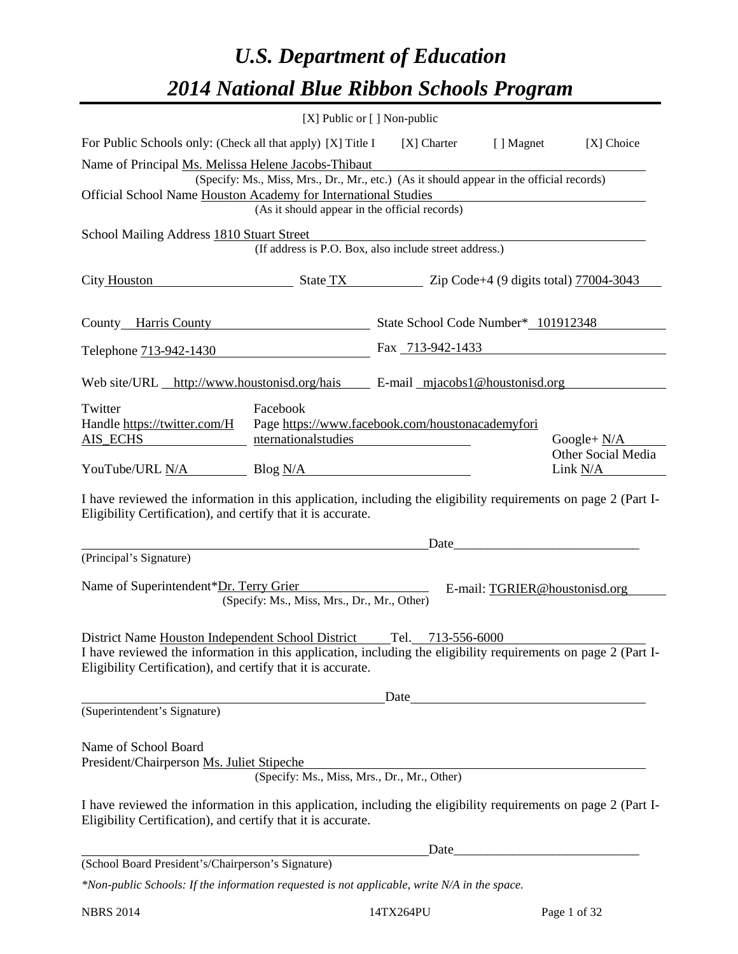# *U.S. Department of Education 2014 National Blue Ribbon Schools Program*

|                                                                                                                                                                                                                                     | [X] Public or [] Non-public                                                                   |                                     |                                                  |                                         |  |  |  |  |
|-------------------------------------------------------------------------------------------------------------------------------------------------------------------------------------------------------------------------------------|-----------------------------------------------------------------------------------------------|-------------------------------------|--------------------------------------------------|-----------------------------------------|--|--|--|--|
| For Public Schools only: (Check all that apply) [X] Title I<br>[X] Choice<br>[X] Charter<br>[ ] Magnet                                                                                                                              |                                                                                               |                                     |                                                  |                                         |  |  |  |  |
| Name of Principal Ms. Melissa Helene Jacobs-Thibaut<br>Official School Name Houston Academy for International Studies                                                                                                               | (Specify: Ms., Miss, Mrs., Dr., Mr., etc.) (As it should appear in the official records)      |                                     |                                                  |                                         |  |  |  |  |
|                                                                                                                                                                                                                                     | (As it should appear in the official records)                                                 |                                     |                                                  |                                         |  |  |  |  |
| School Mailing Address 1810 Stuart Street                                                                                                                                                                                           | (If address is P.O. Box, also include street address.)                                        |                                     |                                                  |                                         |  |  |  |  |
| City Houston                                                                                                                                                                                                                        | $\frac{1}{200}$ State TX $\frac{1}{200}$ Zip Code+4 (9 digits total) $\frac{77004-3043}{200}$ |                                     |                                                  |                                         |  |  |  |  |
| County Harris County                                                                                                                                                                                                                |                                                                                               | State School Code Number* 101912348 |                                                  |                                         |  |  |  |  |
| Telephone 713-942-1430                                                                                                                                                                                                              |                                                                                               | Fax 713-942-1433                    |                                                  |                                         |  |  |  |  |
| Web site/URL http://www.houstonisd.org/hais E-mail mjacobs1@houstonisd.org                                                                                                                                                          |                                                                                               |                                     |                                                  |                                         |  |  |  |  |
| Twitter<br>Handle https://twitter.com/H<br>AIS_ECHS                                                                                                                                                                                 | Facebook<br>Page https://www.facebook.com/houstonacademyfori<br>nternationalstudies           |                                     |                                                  | Google+ $N/A$                           |  |  |  |  |
| YouTube/URL N/A Blog N/A                                                                                                                                                                                                            |                                                                                               |                                     |                                                  | <b>Other Social Media</b><br>Link $N/A$ |  |  |  |  |
| I have reviewed the information in this application, including the eligibility requirements on page 2 (Part I-<br>Eligibility Certification), and certify that it is accurate.                                                      |                                                                                               |                                     |                                                  |                                         |  |  |  |  |
| (Principal's Signature)                                                                                                                                                                                                             |                                                                                               | Date                                |                                                  |                                         |  |  |  |  |
| Name of Superintendent*Dr. Terry Grier                                                                                                                                                                                              | (Specify: Ms., Miss, Mrs., Dr., Mr., Other)                                                   |                                     | E-mail: TGRIER@houstonisd.org                    |                                         |  |  |  |  |
| District Name Houston Independent School District<br>I have reviewed the information in this application, including the eligibility requirements on page 2 (Part I-<br>Eligibility Certification), and certify that it is accurate. |                                                                                               | Tel. 713-556-6000                   |                                                  |                                         |  |  |  |  |
| (Superintendent's Signature)                                                                                                                                                                                                        |                                                                                               | Date                                | <u> 1989 - Johann Barbara, martxa amerikan p</u> |                                         |  |  |  |  |
| Name of School Board<br>President/Chairperson Ms. Juliet Stipeche                                                                                                                                                                   | (Specify: Ms., Miss, Mrs., Dr., Mr., Other)                                                   |                                     |                                                  |                                         |  |  |  |  |
| I have reviewed the information in this application, including the eligibility requirements on page 2 (Part I-<br>Eligibility Certification), and certify that it is accurate.                                                      |                                                                                               |                                     |                                                  |                                         |  |  |  |  |
|                                                                                                                                                                                                                                     |                                                                                               |                                     |                                                  |                                         |  |  |  |  |
| (School Board President's/Chairperson's Signature)<br>*Non-public Schools: If the information requested is not applicable, write N/A in the space.                                                                                  |                                                                                               |                                     |                                                  |                                         |  |  |  |  |
|                                                                                                                                                                                                                                     |                                                                                               |                                     |                                                  |                                         |  |  |  |  |

NBRS 2014 14TX264PU Page 1 of 32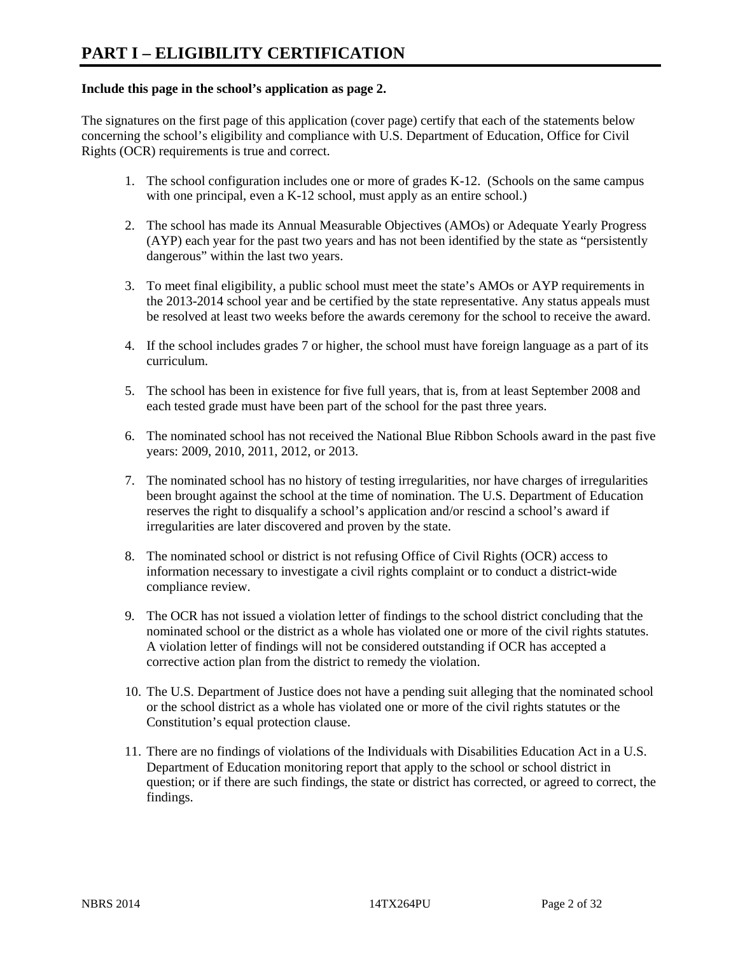#### **Include this page in the school's application as page 2.**

The signatures on the first page of this application (cover page) certify that each of the statements below concerning the school's eligibility and compliance with U.S. Department of Education, Office for Civil Rights (OCR) requirements is true and correct.

- 1. The school configuration includes one or more of grades K-12. (Schools on the same campus with one principal, even a K-12 school, must apply as an entire school.)
- 2. The school has made its Annual Measurable Objectives (AMOs) or Adequate Yearly Progress (AYP) each year for the past two years and has not been identified by the state as "persistently dangerous" within the last two years.
- 3. To meet final eligibility, a public school must meet the state's AMOs or AYP requirements in the 2013-2014 school year and be certified by the state representative. Any status appeals must be resolved at least two weeks before the awards ceremony for the school to receive the award.
- 4. If the school includes grades 7 or higher, the school must have foreign language as a part of its curriculum.
- 5. The school has been in existence for five full years, that is, from at least September 2008 and each tested grade must have been part of the school for the past three years.
- 6. The nominated school has not received the National Blue Ribbon Schools award in the past five years: 2009, 2010, 2011, 2012, or 2013.
- 7. The nominated school has no history of testing irregularities, nor have charges of irregularities been brought against the school at the time of nomination. The U.S. Department of Education reserves the right to disqualify a school's application and/or rescind a school's award if irregularities are later discovered and proven by the state.
- 8. The nominated school or district is not refusing Office of Civil Rights (OCR) access to information necessary to investigate a civil rights complaint or to conduct a district-wide compliance review.
- 9. The OCR has not issued a violation letter of findings to the school district concluding that the nominated school or the district as a whole has violated one or more of the civil rights statutes. A violation letter of findings will not be considered outstanding if OCR has accepted a corrective action plan from the district to remedy the violation.
- 10. The U.S. Department of Justice does not have a pending suit alleging that the nominated school or the school district as a whole has violated one or more of the civil rights statutes or the Constitution's equal protection clause.
- 11. There are no findings of violations of the Individuals with Disabilities Education Act in a U.S. Department of Education monitoring report that apply to the school or school district in question; or if there are such findings, the state or district has corrected, or agreed to correct, the findings.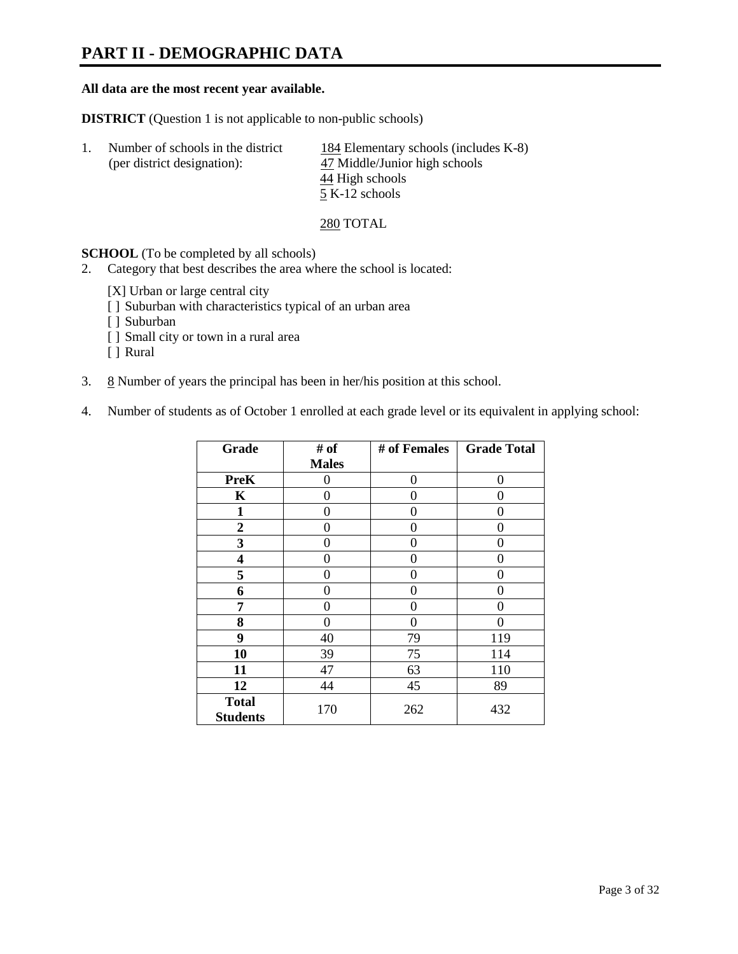### **PART II - DEMOGRAPHIC DATA**

#### **All data are the most recent year available.**

**DISTRICT** (Question 1 is not applicable to non-public schools)

| -1. | Number of schools in the district | 184 Elementary schools (includes K-8) |
|-----|-----------------------------------|---------------------------------------|
|     | (per district designation):       | 47 Middle/Junior high schools         |
|     |                                   | 44 High schools                       |
|     |                                   | 5 K-12 schools                        |

#### 280 TOTAL

**SCHOOL** (To be completed by all schools)

- 2. Category that best describes the area where the school is located:
	- [X] Urban or large central city
	- [ ] Suburban with characteristics typical of an urban area
	- [ ] Suburban
	- [ ] Small city or town in a rural area
	- [ ] Rural
- 3.  $8$  Number of years the principal has been in her/his position at this school.
- 4. Number of students as of October 1 enrolled at each grade level or its equivalent in applying school:

| Grade                           | # of         | # of Females | <b>Grade Total</b> |
|---------------------------------|--------------|--------------|--------------------|
|                                 | <b>Males</b> |              |                    |
| <b>PreK</b>                     | 0            | $\theta$     | $\Omega$           |
| K                               | 0            | 0            | 0                  |
| $\mathbf{1}$                    | 0            | 0            | 0                  |
| $\overline{2}$                  | 0            | 0            | 0                  |
| 3                               | 0            | 0            | 0                  |
| 4                               | 0            | 0            | 0                  |
| 5                               | 0            | 0            | 0                  |
| 6                               | 0            | 0            | 0                  |
| 7                               | 0            | 0            | 0                  |
| 8                               | 0            | 0            | 0                  |
| 9                               | 40           | 79           | 119                |
| 10                              | 39           | 75           | 114                |
| 11                              | 47           | 63           | 110                |
| 12                              | 44           | 45           | 89                 |
| <b>Total</b><br><b>Students</b> | 170          | 262          | 432                |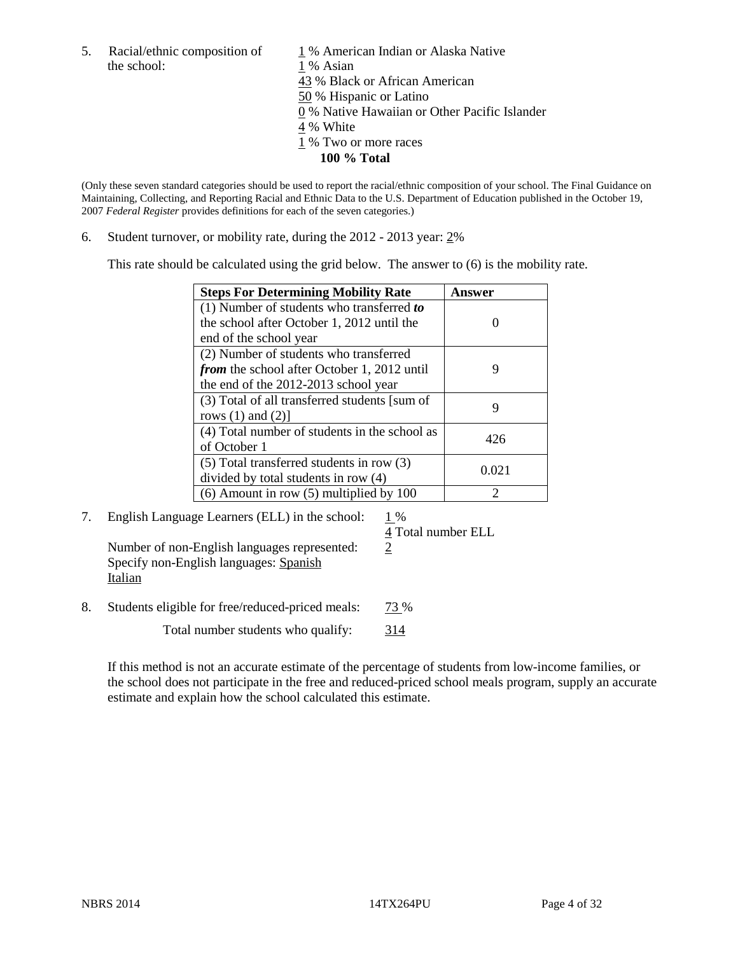the school: 1 % Asian

5. Racial/ethnic composition of  $1\%$  American Indian or Alaska Native 43 % Black or African American 50 % Hispanic or Latino 0 % Native Hawaiian or Other Pacific Islander 4 % White 1 % Two or more races **100 % Total**

(Only these seven standard categories should be used to report the racial/ethnic composition of your school. The Final Guidance on Maintaining, Collecting, and Reporting Racial and Ethnic Data to the U.S. Department of Education published in the October 19, 2007 *Federal Register* provides definitions for each of the seven categories.)

6. Student turnover, or mobility rate, during the 2012 - 2013 year: 2%

This rate should be calculated using the grid below. The answer to (6) is the mobility rate.

| <b>Steps For Determining Mobility Rate</b>    | Answer |
|-----------------------------------------------|--------|
| (1) Number of students who transferred to     |        |
| the school after October 1, 2012 until the    |        |
| end of the school year                        |        |
| (2) Number of students who transferred        |        |
| from the school after October 1, 2012 until   | 9      |
| the end of the 2012-2013 school year          |        |
| (3) Total of all transferred students [sum of |        |
| rows $(1)$ and $(2)$ ]                        |        |
| (4) Total number of students in the school as | 426    |
| of October 1                                  |        |
| $(5)$ Total transferred students in row $(3)$ | 0.021  |
| divided by total students in row (4)          |        |
| $(6)$ Amount in row $(5)$ multiplied by 100   | ႒      |

7. English Language Learners (ELL) in the school:  $1\%$ 

Number of non-English languages represented: 2 Specify non-English languages: Spanish Italian

8. Students eligible for free/reduced-priced meals: 73 %

Total number students who qualify: 314

4 Total number ELL

If this method is not an accurate estimate of the percentage of students from low-income families, or the school does not participate in the free and reduced-priced school meals program, supply an accurate estimate and explain how the school calculated this estimate.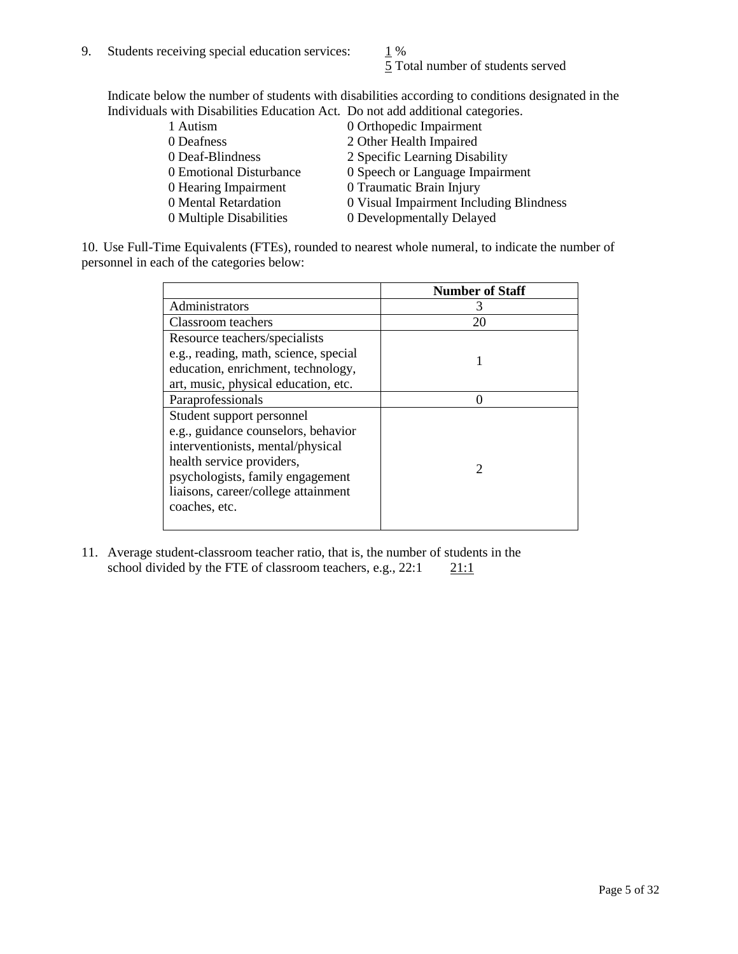5 Total number of students served

Indicate below the number of students with disabilities according to conditions designated in the Individuals with Disabilities Education Act. Do not add additional categories.

| 1 Autism                | 0 Orthopedic Impairment                 |
|-------------------------|-----------------------------------------|
| 0 Deafness              | 2 Other Health Impaired                 |
| 0 Deaf-Blindness        | 2 Specific Learning Disability          |
| 0 Emotional Disturbance | 0 Speech or Language Impairment         |
| 0 Hearing Impairment    | 0 Traumatic Brain Injury                |
| 0 Mental Retardation    | 0 Visual Impairment Including Blindness |
| 0 Multiple Disabilities | 0 Developmentally Delayed               |
|                         |                                         |

10. Use Full-Time Equivalents (FTEs), rounded to nearest whole numeral, to indicate the number of personnel in each of the categories below:

|                                       | <b>Number of Staff</b> |
|---------------------------------------|------------------------|
| Administrators                        |                        |
| Classroom teachers                    | 20                     |
| Resource teachers/specialists         |                        |
| e.g., reading, math, science, special |                        |
| education, enrichment, technology,    |                        |
| art, music, physical education, etc.  |                        |
| Paraprofessionals                     |                        |
| Student support personnel             |                        |
| e.g., guidance counselors, behavior   |                        |
| interventionists, mental/physical     |                        |
| health service providers,             |                        |
| psychologists, family engagement      |                        |
| liaisons, career/college attainment   |                        |
| coaches, etc.                         |                        |
|                                       |                        |

11. Average student-classroom teacher ratio, that is, the number of students in the school divided by the FTE of classroom teachers, e.g.,  $22:1$  21:1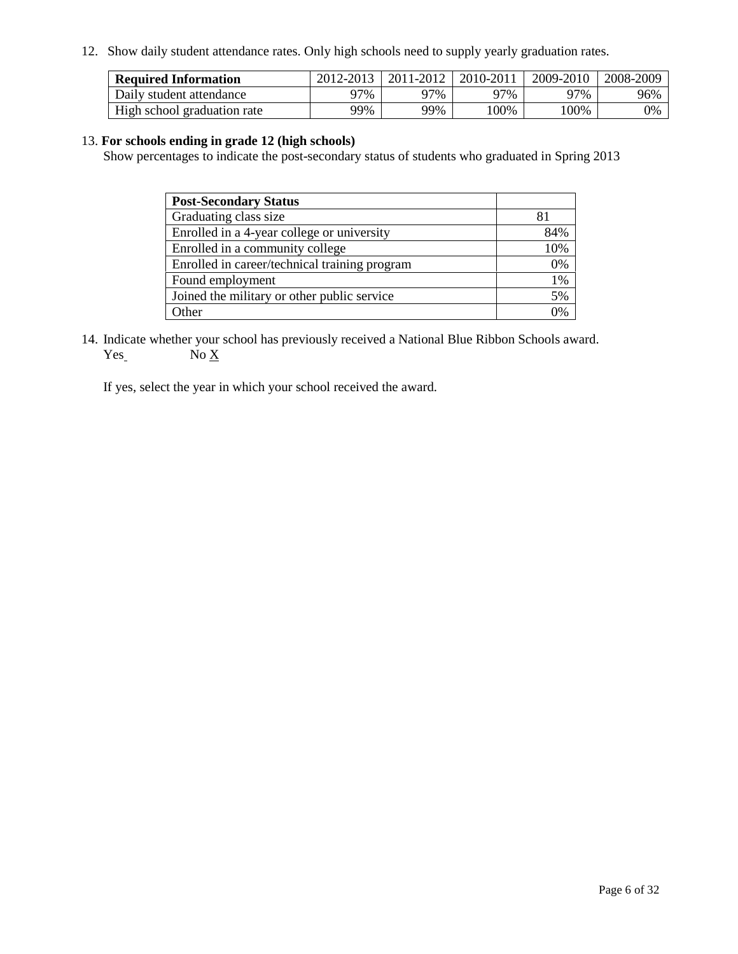12. Show daily student attendance rates. Only high schools need to supply yearly graduation rates.

| <b>Required Information</b> | 2012-2013 | 2011-2012 | 2010-2011 | 2009-2010 | 2008-2009 |
|-----------------------------|-----------|-----------|-----------|-----------|-----------|
| Daily student attendance    | 77%       | 97%       | 97%       | 97%       | 96%       |
| High school graduation rate | 99%       | 99%       | 100%      | $00\%$    | 0%        |

#### 13. **For schools ending in grade 12 (high schools)**

Show percentages to indicate the post-secondary status of students who graduated in Spring 2013

| <b>Post-Secondary Status</b>                  |     |
|-----------------------------------------------|-----|
| Graduating class size                         |     |
| Enrolled in a 4-year college or university    | 84% |
| Enrolled in a community college               | 10% |
| Enrolled in career/technical training program | 0%  |
| Found employment                              | 1%  |
| Joined the military or other public service   | 5%  |
| <b>Other</b>                                  | 0%  |

14. Indicate whether your school has previously received a National Blue Ribbon Schools award.  $Yes$  No  $X$ 

If yes, select the year in which your school received the award.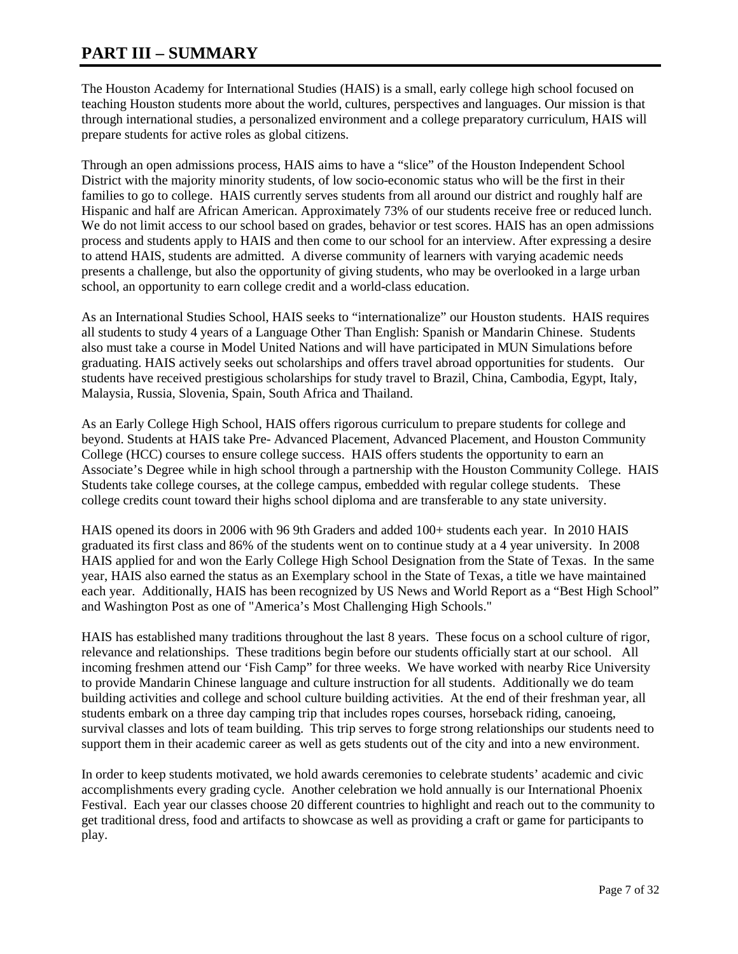### **PART III – SUMMARY**

The Houston Academy for International Studies (HAIS) is a small, early college high school focused on teaching Houston students more about the world, cultures, perspectives and languages. Our mission is that through international studies, a personalized environment and a college preparatory curriculum, HAIS will prepare students for active roles as global citizens.

Through an open admissions process, HAIS aims to have a "slice" of the Houston Independent School District with the majority minority students, of low socio-economic status who will be the first in their families to go to college. HAIS currently serves students from all around our district and roughly half are Hispanic and half are African American. Approximately 73% of our students receive free or reduced lunch. We do not limit access to our school based on grades, behavior or test scores. HAIS has an open admissions process and students apply to HAIS and then come to our school for an interview. After expressing a desire to attend HAIS, students are admitted. A diverse community of learners with varying academic needs presents a challenge, but also the opportunity of giving students, who may be overlooked in a large urban school, an opportunity to earn college credit and a world-class education.

As an International Studies School, HAIS seeks to "internationalize" our Houston students. HAIS requires all students to study 4 years of a Language Other Than English: Spanish or Mandarin Chinese. Students also must take a course in Model United Nations and will have participated in MUN Simulations before graduating. HAIS actively seeks out scholarships and offers travel abroad opportunities for students. Our students have received prestigious scholarships for study travel to Brazil, China, Cambodia, Egypt, Italy, Malaysia, Russia, Slovenia, Spain, South Africa and Thailand.

As an Early College High School, HAIS offers rigorous curriculum to prepare students for college and beyond. Students at HAIS take Pre- Advanced Placement, Advanced Placement, and Houston Community College (HCC) courses to ensure college success. HAIS offers students the opportunity to earn an Associate's Degree while in high school through a partnership with the Houston Community College. HAIS Students take college courses, at the college campus, embedded with regular college students. These college credits count toward their highs school diploma and are transferable to any state university.

HAIS opened its doors in 2006 with 96 9th Graders and added 100+ students each year. In 2010 HAIS graduated its first class and 86% of the students went on to continue study at a 4 year university. In 2008 HAIS applied for and won the Early College High School Designation from the State of Texas. In the same year, HAIS also earned the status as an Exemplary school in the State of Texas, a title we have maintained each year. Additionally, HAIS has been recognized by US News and World Report as a "Best High School" and Washington Post as one of "America's Most Challenging High Schools."

HAIS has established many traditions throughout the last 8 years. These focus on a school culture of rigor, relevance and relationships. These traditions begin before our students officially start at our school. All incoming freshmen attend our 'Fish Camp" for three weeks. We have worked with nearby Rice University to provide Mandarin Chinese language and culture instruction for all students. Additionally we do team building activities and college and school culture building activities. At the end of their freshman year, all students embark on a three day camping trip that includes ropes courses, horseback riding, canoeing, survival classes and lots of team building. This trip serves to forge strong relationships our students need to support them in their academic career as well as gets students out of the city and into a new environment.

In order to keep students motivated, we hold awards ceremonies to celebrate students' academic and civic accomplishments every grading cycle. Another celebration we hold annually is our International Phoenix Festival. Each year our classes choose 20 different countries to highlight and reach out to the community to get traditional dress, food and artifacts to showcase as well as providing a craft or game for participants to play.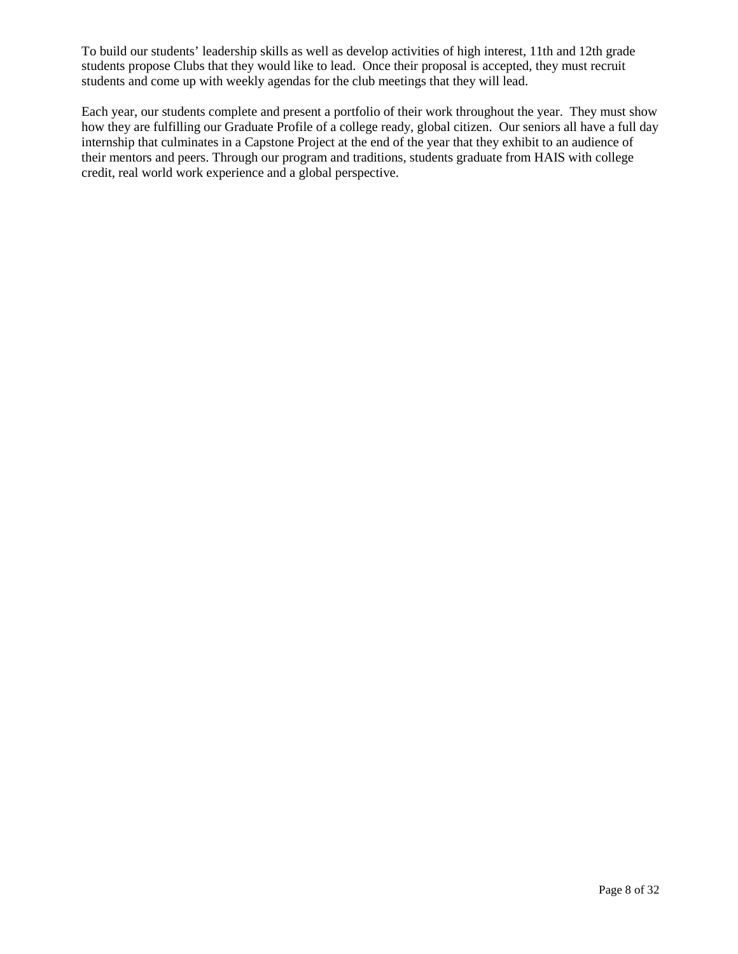To build our students' leadership skills as well as develop activities of high interest, 11th and 12th grade students propose Clubs that they would like to lead. Once their proposal is accepted, they must recruit students and come up with weekly agendas for the club meetings that they will lead.

Each year, our students complete and present a portfolio of their work throughout the year. They must show how they are fulfilling our Graduate Profile of a college ready, global citizen. Our seniors all have a full day internship that culminates in a Capstone Project at the end of the year that they exhibit to an audience of their mentors and peers. Through our program and traditions, students graduate from HAIS with college credit, real world work experience and a global perspective.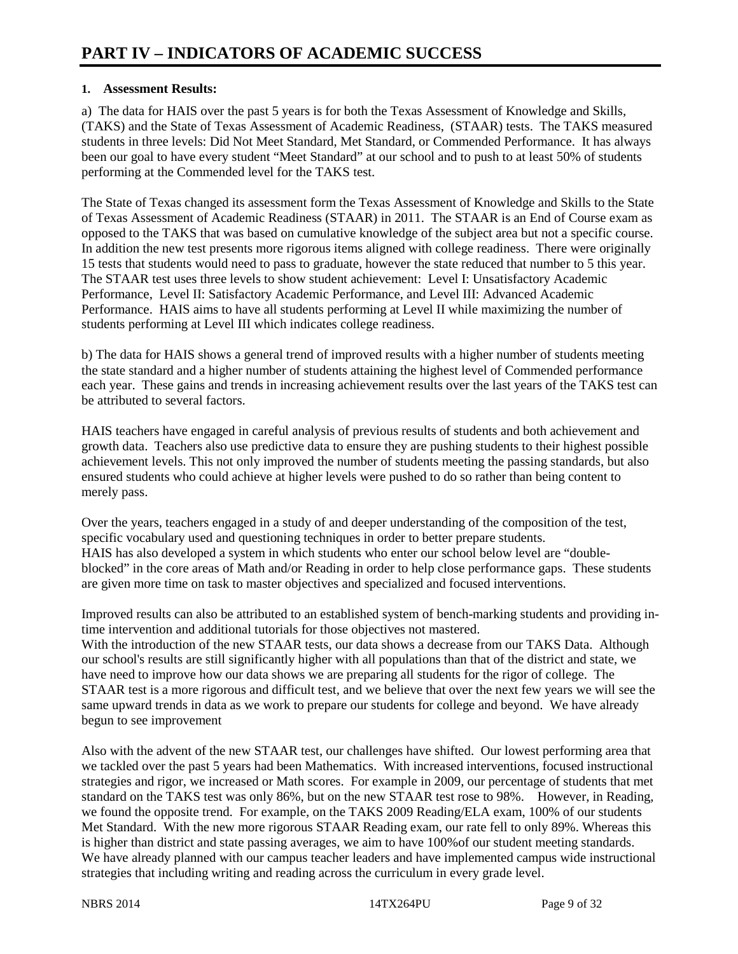#### **1. Assessment Results:**

a) The data for HAIS over the past 5 years is for both the Texas Assessment of Knowledge and Skills, (TAKS) and the State of Texas Assessment of Academic Readiness, (STAAR) tests. The TAKS measured students in three levels: Did Not Meet Standard, Met Standard, or Commended Performance. It has always been our goal to have every student "Meet Standard" at our school and to push to at least 50% of students performing at the Commended level for the TAKS test.

The State of Texas changed its assessment form the Texas Assessment of Knowledge and Skills to the State of Texas Assessment of Academic Readiness (STAAR) in 2011. The STAAR is an End of Course exam as opposed to the TAKS that was based on cumulative knowledge of the subject area but not a specific course. In addition the new test presents more rigorous items aligned with college readiness. There were originally 15 tests that students would need to pass to graduate, however the state reduced that number to 5 this year. The STAAR test uses three levels to show student achievement: Level I: Unsatisfactory Academic Performance, Level II: Satisfactory Academic Performance, and Level III: Advanced Academic Performance. HAIS aims to have all students performing at Level II while maximizing the number of students performing at Level III which indicates college readiness.

b) The data for HAIS shows a general trend of improved results with a higher number of students meeting the state standard and a higher number of students attaining the highest level of Commended performance each year. These gains and trends in increasing achievement results over the last years of the TAKS test can be attributed to several factors.

HAIS teachers have engaged in careful analysis of previous results of students and both achievement and growth data. Teachers also use predictive data to ensure they are pushing students to their highest possible achievement levels. This not only improved the number of students meeting the passing standards, but also ensured students who could achieve at higher levels were pushed to do so rather than being content to merely pass.

Over the years, teachers engaged in a study of and deeper understanding of the composition of the test, specific vocabulary used and questioning techniques in order to better prepare students. HAIS has also developed a system in which students who enter our school below level are "doubleblocked" in the core areas of Math and/or Reading in order to help close performance gaps. These students are given more time on task to master objectives and specialized and focused interventions.

Improved results can also be attributed to an established system of bench-marking students and providing intime intervention and additional tutorials for those objectives not mastered.

With the introduction of the new STAAR tests, our data shows a decrease from our TAKS Data. Although our school's results are still significantly higher with all populations than that of the district and state, we have need to improve how our data shows we are preparing all students for the rigor of college. The STAAR test is a more rigorous and difficult test, and we believe that over the next few years we will see the same upward trends in data as we work to prepare our students for college and beyond. We have already begun to see improvement

Also with the advent of the new STAAR test, our challenges have shifted. Our lowest performing area that we tackled over the past 5 years had been Mathematics. With increased interventions, focused instructional strategies and rigor, we increased or Math scores. For example in 2009, our percentage of students that met standard on the TAKS test was only 86%, but on the new STAAR test rose to 98%. However, in Reading, we found the opposite trend. For example, on the TAKS 2009 Reading/ELA exam, 100% of our students Met Standard. With the new more rigorous STAAR Reading exam, our rate fell to only 89%. Whereas this is higher than district and state passing averages, we aim to have 100%of our student meeting standards. We have already planned with our campus teacher leaders and have implemented campus wide instructional strategies that including writing and reading across the curriculum in every grade level.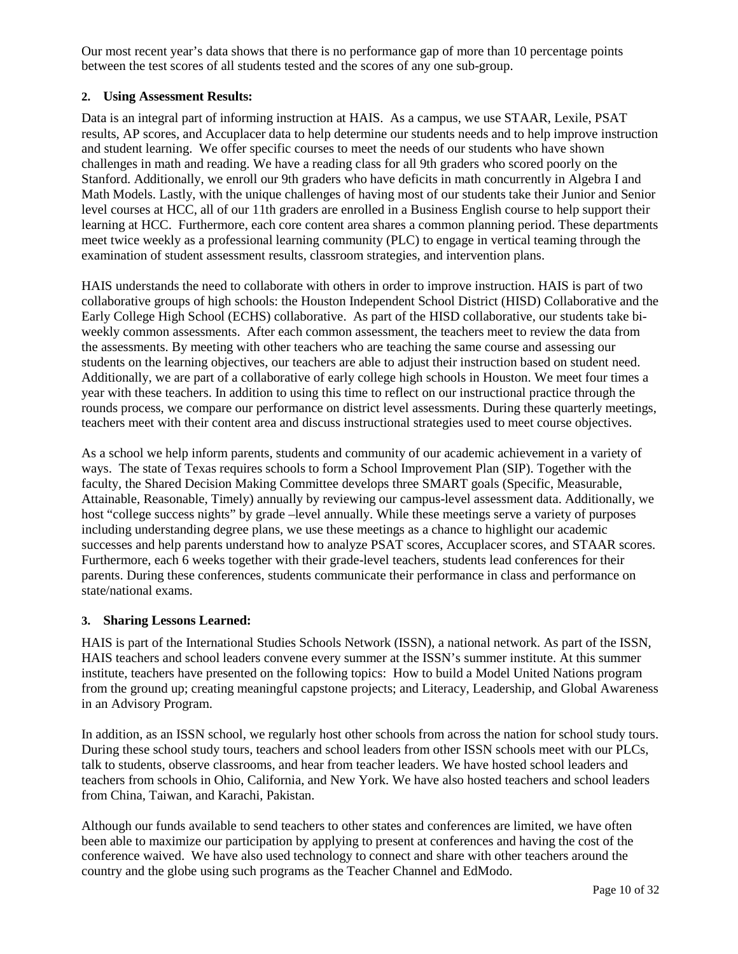Our most recent year's data shows that there is no performance gap of more than 10 percentage points between the test scores of all students tested and the scores of any one sub-group.

#### **2. Using Assessment Results:**

Data is an integral part of informing instruction at HAIS. As a campus, we use STAAR, Lexile, PSAT results, AP scores, and Accuplacer data to help determine our students needs and to help improve instruction and student learning. We offer specific courses to meet the needs of our students who have shown challenges in math and reading. We have a reading class for all 9th graders who scored poorly on the Stanford. Additionally, we enroll our 9th graders who have deficits in math concurrently in Algebra I and Math Models. Lastly, with the unique challenges of having most of our students take their Junior and Senior level courses at HCC, all of our 11th graders are enrolled in a Business English course to help support their learning at HCC. Furthermore, each core content area shares a common planning period. These departments meet twice weekly as a professional learning community (PLC) to engage in vertical teaming through the examination of student assessment results, classroom strategies, and intervention plans.

HAIS understands the need to collaborate with others in order to improve instruction. HAIS is part of two collaborative groups of high schools: the Houston Independent School District (HISD) Collaborative and the Early College High School (ECHS) collaborative. As part of the HISD collaborative, our students take biweekly common assessments. After each common assessment, the teachers meet to review the data from the assessments. By meeting with other teachers who are teaching the same course and assessing our students on the learning objectives, our teachers are able to adjust their instruction based on student need. Additionally, we are part of a collaborative of early college high schools in Houston. We meet four times a year with these teachers. In addition to using this time to reflect on our instructional practice through the rounds process, we compare our performance on district level assessments. During these quarterly meetings, teachers meet with their content area and discuss instructional strategies used to meet course objectives.

As a school we help inform parents, students and community of our academic achievement in a variety of ways. The state of Texas requires schools to form a School Improvement Plan (SIP). Together with the faculty, the Shared Decision Making Committee develops three SMART goals (Specific, Measurable, Attainable, Reasonable, Timely) annually by reviewing our campus-level assessment data. Additionally, we host "college success nights" by grade –level annually. While these meetings serve a variety of purposes including understanding degree plans, we use these meetings as a chance to highlight our academic successes and help parents understand how to analyze PSAT scores, Accuplacer scores, and STAAR scores. Furthermore, each 6 weeks together with their grade-level teachers, students lead conferences for their parents. During these conferences, students communicate their performance in class and performance on state/national exams.

#### **3. Sharing Lessons Learned:**

HAIS is part of the International Studies Schools Network (ISSN), a national network. As part of the ISSN, HAIS teachers and school leaders convene every summer at the ISSN's summer institute. At this summer institute, teachers have presented on the following topics: How to build a Model United Nations program from the ground up; creating meaningful capstone projects; and Literacy, Leadership, and Global Awareness in an Advisory Program.

In addition, as an ISSN school, we regularly host other schools from across the nation for school study tours. During these school study tours, teachers and school leaders from other ISSN schools meet with our PLCs, talk to students, observe classrooms, and hear from teacher leaders. We have hosted school leaders and teachers from schools in Ohio, California, and New York. We have also hosted teachers and school leaders from China, Taiwan, and Karachi, Pakistan.

Although our funds available to send teachers to other states and conferences are limited, we have often been able to maximize our participation by applying to present at conferences and having the cost of the conference waived. We have also used technology to connect and share with other teachers around the country and the globe using such programs as the Teacher Channel and EdModo.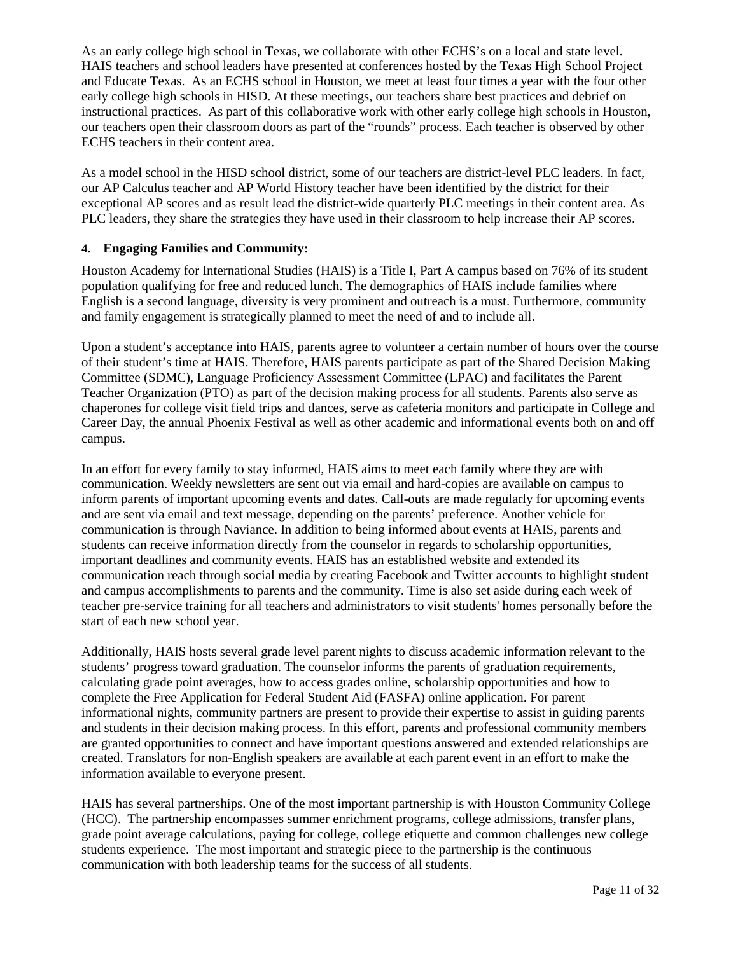As an early college high school in Texas, we collaborate with other ECHS's on a local and state level. HAIS teachers and school leaders have presented at conferences hosted by the Texas High School Project and Educate Texas. As an ECHS school in Houston, we meet at least four times a year with the four other early college high schools in HISD. At these meetings, our teachers share best practices and debrief on instructional practices. As part of this collaborative work with other early college high schools in Houston, our teachers open their classroom doors as part of the "rounds" process. Each teacher is observed by other ECHS teachers in their content area.

As a model school in the HISD school district, some of our teachers are district-level PLC leaders. In fact, our AP Calculus teacher and AP World History teacher have been identified by the district for their exceptional AP scores and as result lead the district-wide quarterly PLC meetings in their content area. As PLC leaders, they share the strategies they have used in their classroom to help increase their AP scores.

#### **4. Engaging Families and Community:**

Houston Academy for International Studies (HAIS) is a Title I, Part A campus based on 76% of its student population qualifying for free and reduced lunch. The demographics of HAIS include families where English is a second language, diversity is very prominent and outreach is a must. Furthermore, community and family engagement is strategically planned to meet the need of and to include all.

Upon a student's acceptance into HAIS, parents agree to volunteer a certain number of hours over the course of their student's time at HAIS. Therefore, HAIS parents participate as part of the Shared Decision Making Committee (SDMC), Language Proficiency Assessment Committee (LPAC) and facilitates the Parent Teacher Organization (PTO) as part of the decision making process for all students. Parents also serve as chaperones for college visit field trips and dances, serve as cafeteria monitors and participate in College and Career Day, the annual Phoenix Festival as well as other academic and informational events both on and off campus.

In an effort for every family to stay informed, HAIS aims to meet each family where they are with communication. Weekly newsletters are sent out via email and hard-copies are available on campus to inform parents of important upcoming events and dates. Call-outs are made regularly for upcoming events and are sent via email and text message, depending on the parents' preference. Another vehicle for communication is through Naviance. In addition to being informed about events at HAIS, parents and students can receive information directly from the counselor in regards to scholarship opportunities, important deadlines and community events. HAIS has an established website and extended its communication reach through social media by creating Facebook and Twitter accounts to highlight student and campus accomplishments to parents and the community. Time is also set aside during each week of teacher pre-service training for all teachers and administrators to visit students' homes personally before the start of each new school year.

Additionally, HAIS hosts several grade level parent nights to discuss academic information relevant to the students' progress toward graduation. The counselor informs the parents of graduation requirements, calculating grade point averages, how to access grades online, scholarship opportunities and how to complete the Free Application for Federal Student Aid (FASFA) online application. For parent informational nights, community partners are present to provide their expertise to assist in guiding parents and students in their decision making process. In this effort, parents and professional community members are granted opportunities to connect and have important questions answered and extended relationships are created. Translators for non-English speakers are available at each parent event in an effort to make the information available to everyone present.

HAIS has several partnerships. One of the most important partnership is with Houston Community College (HCC). The partnership encompasses summer enrichment programs, college admissions, transfer plans, grade point average calculations, paying for college, college etiquette and common challenges new college students experience. The most important and strategic piece to the partnership is the continuous communication with both leadership teams for the success of all students.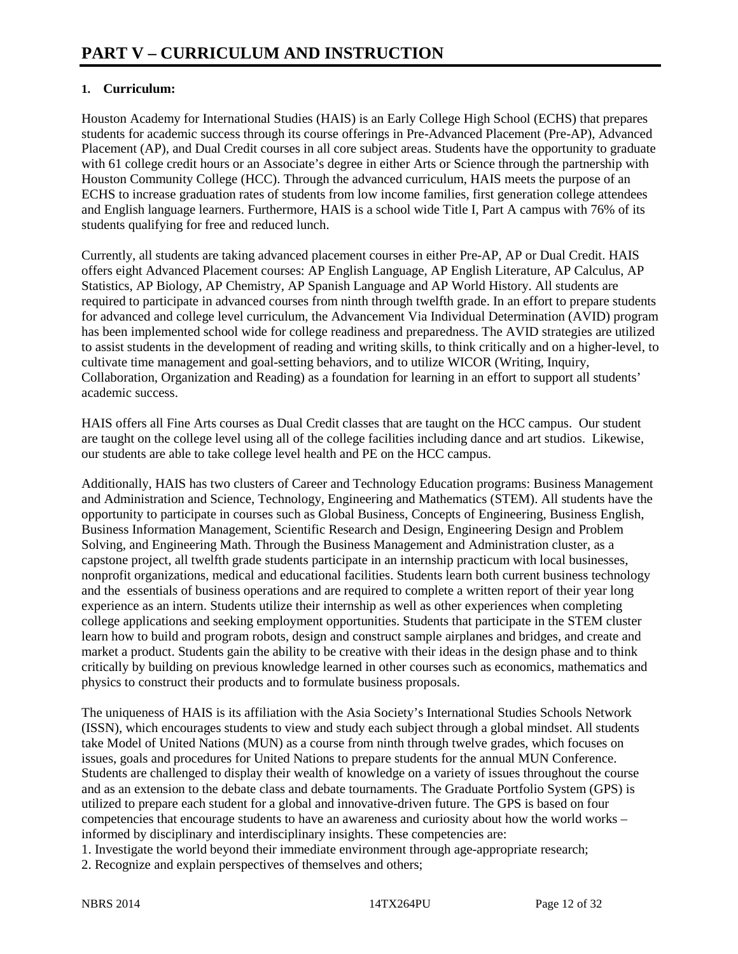### **1. Curriculum:**

Houston Academy for International Studies (HAIS) is an Early College High School (ECHS) that prepares students for academic success through its course offerings in Pre-Advanced Placement (Pre-AP), Advanced Placement (AP), and Dual Credit courses in all core subject areas. Students have the opportunity to graduate with 61 college credit hours or an Associate's degree in either Arts or Science through the partnership with Houston Community College (HCC). Through the advanced curriculum, HAIS meets the purpose of an ECHS to increase graduation rates of students from low income families, first generation college attendees and English language learners. Furthermore, HAIS is a school wide Title I, Part A campus with 76% of its students qualifying for free and reduced lunch.

Currently, all students are taking advanced placement courses in either Pre-AP, AP or Dual Credit. HAIS offers eight Advanced Placement courses: AP English Language, AP English Literature, AP Calculus, AP Statistics, AP Biology, AP Chemistry, AP Spanish Language and AP World History. All students are required to participate in advanced courses from ninth through twelfth grade. In an effort to prepare students for advanced and college level curriculum, the Advancement Via Individual Determination (AVID) program has been implemented school wide for college readiness and preparedness. The AVID strategies are utilized to assist students in the development of reading and writing skills, to think critically and on a higher-level, to cultivate time management and goal-setting behaviors, and to utilize WICOR (Writing, Inquiry, Collaboration, Organization and Reading) as a foundation for learning in an effort to support all students' academic success.

HAIS offers all Fine Arts courses as Dual Credit classes that are taught on the HCC campus. Our student are taught on the college level using all of the college facilities including dance and art studios. Likewise, our students are able to take college level health and PE on the HCC campus.

Additionally, HAIS has two clusters of Career and Technology Education programs: Business Management and Administration and Science, Technology, Engineering and Mathematics (STEM). All students have the opportunity to participate in courses such as Global Business, Concepts of Engineering, Business English, Business Information Management, Scientific Research and Design, Engineering Design and Problem Solving, and Engineering Math. Through the Business Management and Administration cluster, as a capstone project, all twelfth grade students participate in an internship practicum with local businesses, nonprofit organizations, medical and educational facilities. Students learn both current business technology and the essentials of business operations and are required to complete a written report of their year long experience as an intern. Students utilize their internship as well as other experiences when completing college applications and seeking employment opportunities. Students that participate in the STEM cluster learn how to build and program robots, design and construct sample airplanes and bridges, and create and market a product. Students gain the ability to be creative with their ideas in the design phase and to think critically by building on previous knowledge learned in other courses such as economics, mathematics and physics to construct their products and to formulate business proposals.

The uniqueness of HAIS is its affiliation with the Asia Society's International Studies Schools Network (ISSN), which encourages students to view and study each subject through a global mindset. All students take Model of United Nations (MUN) as a course from ninth through twelve grades, which focuses on issues, goals and procedures for United Nations to prepare students for the annual MUN Conference. Students are challenged to display their wealth of knowledge on a variety of issues throughout the course and as an extension to the debate class and debate tournaments. The Graduate Portfolio System (GPS) is utilized to prepare each student for a global and innovative-driven future. The GPS is based on four competencies that encourage students to have an awareness and curiosity about how the world works – informed by disciplinary and interdisciplinary insights. These competencies are:

1. Investigate the world beyond their immediate environment through age-appropriate research;

2. Recognize and explain perspectives of themselves and others;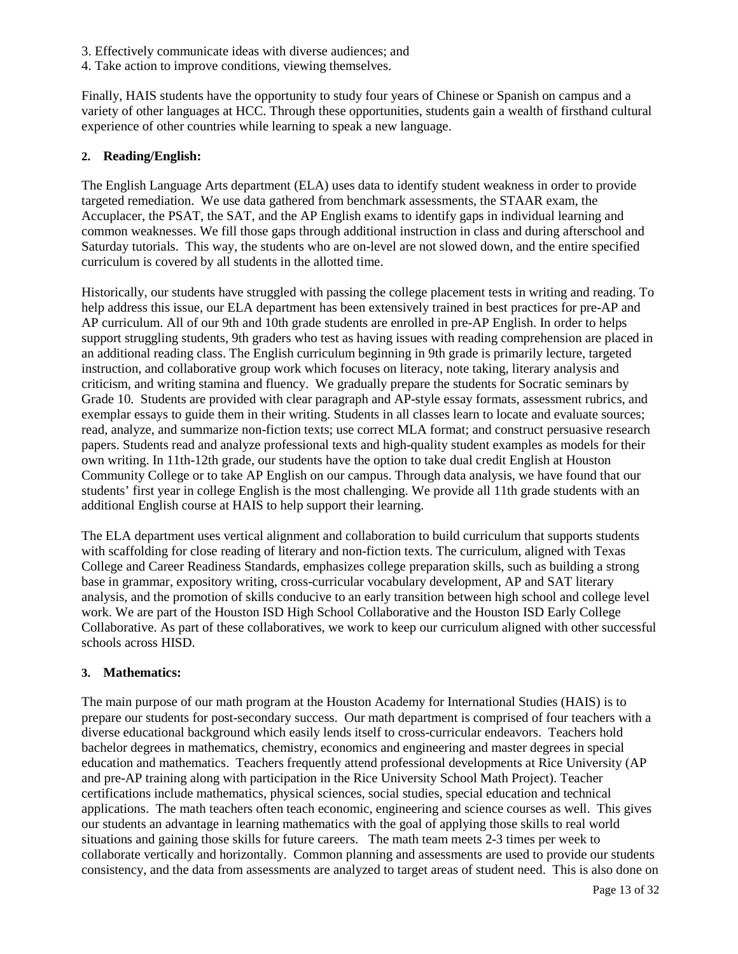- 3. Effectively communicate ideas with diverse audiences; and
- 4. Take action to improve conditions, viewing themselves.

Finally, HAIS students have the opportunity to study four years of Chinese or Spanish on campus and a variety of other languages at HCC. Through these opportunities, students gain a wealth of firsthand cultural experience of other countries while learning to speak a new language.

#### **2. Reading/English:**

The English Language Arts department (ELA) uses data to identify student weakness in order to provide targeted remediation. We use data gathered from benchmark assessments, the STAAR exam, the Accuplacer, the PSAT, the SAT, and the AP English exams to identify gaps in individual learning and common weaknesses. We fill those gaps through additional instruction in class and during afterschool and Saturday tutorials. This way, the students who are on-level are not slowed down, and the entire specified curriculum is covered by all students in the allotted time.

Historically, our students have struggled with passing the college placement tests in writing and reading. To help address this issue, our ELA department has been extensively trained in best practices for pre-AP and AP curriculum. All of our 9th and 10th grade students are enrolled in pre-AP English. In order to helps support struggling students, 9th graders who test as having issues with reading comprehension are placed in an additional reading class. The English curriculum beginning in 9th grade is primarily lecture, targeted instruction, and collaborative group work which focuses on literacy, note taking, literary analysis and criticism, and writing stamina and fluency. We gradually prepare the students for Socratic seminars by Grade 10. Students are provided with clear paragraph and AP-style essay formats, assessment rubrics, and exemplar essays to guide them in their writing. Students in all classes learn to locate and evaluate sources; read, analyze, and summarize non-fiction texts; use correct MLA format; and construct persuasive research papers. Students read and analyze professional texts and high-quality student examples as models for their own writing. In 11th-12th grade, our students have the option to take dual credit English at Houston Community College or to take AP English on our campus. Through data analysis, we have found that our students' first year in college English is the most challenging. We provide all 11th grade students with an additional English course at HAIS to help support their learning.

The ELA department uses vertical alignment and collaboration to build curriculum that supports students with scaffolding for close reading of literary and non-fiction texts. The curriculum, aligned with Texas College and Career Readiness Standards, emphasizes college preparation skills, such as building a strong base in grammar, expository writing, cross-curricular vocabulary development, AP and SAT literary analysis, and the promotion of skills conducive to an early transition between high school and college level work. We are part of the Houston ISD High School Collaborative and the Houston ISD Early College Collaborative. As part of these collaboratives, we work to keep our curriculum aligned with other successful schools across HISD.

#### **3. Mathematics:**

The main purpose of our math program at the Houston Academy for International Studies (HAIS) is to prepare our students for post-secondary success. Our math department is comprised of four teachers with a diverse educational background which easily lends itself to cross-curricular endeavors. Teachers hold bachelor degrees in mathematics, chemistry, economics and engineering and master degrees in special education and mathematics. Teachers frequently attend professional developments at Rice University (AP and pre-AP training along with participation in the Rice University School Math Project). Teacher certifications include mathematics, physical sciences, social studies, special education and technical applications. The math teachers often teach economic, engineering and science courses as well. This gives our students an advantage in learning mathematics with the goal of applying those skills to real world situations and gaining those skills for future careers. The math team meets 2-3 times per week to collaborate vertically and horizontally. Common planning and assessments are used to provide our students consistency, and the data from assessments are analyzed to target areas of student need. This is also done on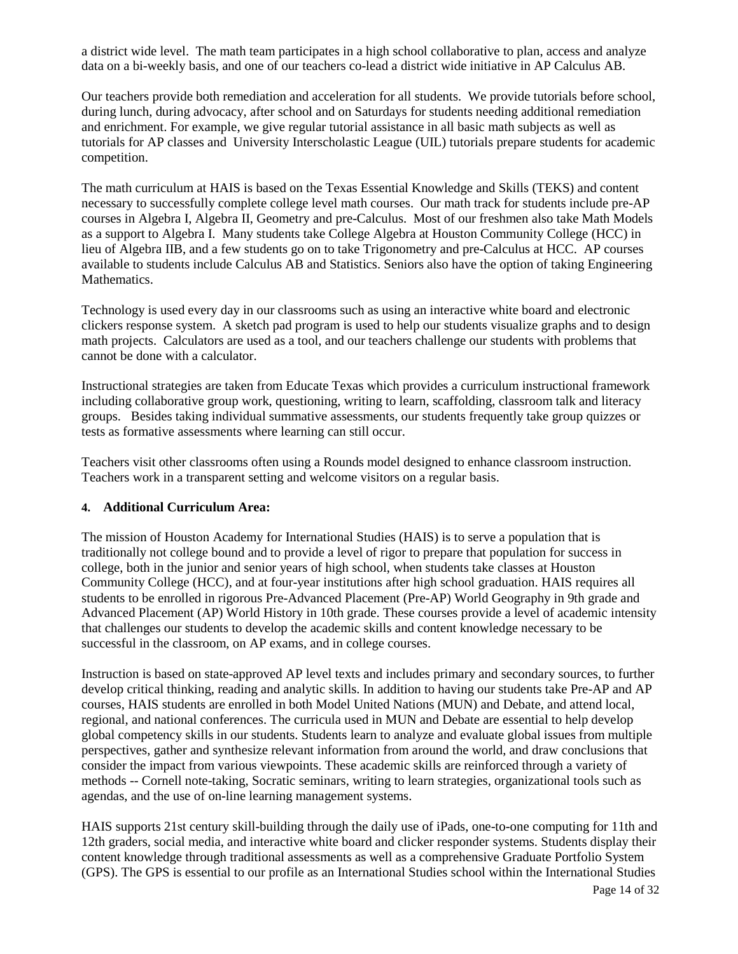a district wide level. The math team participates in a high school collaborative to plan, access and analyze data on a bi-weekly basis, and one of our teachers co-lead a district wide initiative in AP Calculus AB.

Our teachers provide both remediation and acceleration for all students. We provide tutorials before school, during lunch, during advocacy, after school and on Saturdays for students needing additional remediation and enrichment. For example, we give regular tutorial assistance in all basic math subjects as well as tutorials for AP classes and University Interscholastic League (UIL) tutorials prepare students for academic competition.

The math curriculum at HAIS is based on the Texas Essential Knowledge and Skills (TEKS) and content necessary to successfully complete college level math courses. Our math track for students include pre-AP courses in Algebra I, Algebra II, Geometry and pre-Calculus. Most of our freshmen also take Math Models as a support to Algebra I. Many students take College Algebra at Houston Community College (HCC) in lieu of Algebra IIB, and a few students go on to take Trigonometry and pre-Calculus at HCC. AP courses available to students include Calculus AB and Statistics. Seniors also have the option of taking Engineering Mathematics.

Technology is used every day in our classrooms such as using an interactive white board and electronic clickers response system. A sketch pad program is used to help our students visualize graphs and to design math projects. Calculators are used as a tool, and our teachers challenge our students with problems that cannot be done with a calculator.

Instructional strategies are taken from Educate Texas which provides a curriculum instructional framework including collaborative group work, questioning, writing to learn, scaffolding, classroom talk and literacy groups. Besides taking individual summative assessments, our students frequently take group quizzes or tests as formative assessments where learning can still occur.

Teachers visit other classrooms often using a Rounds model designed to enhance classroom instruction. Teachers work in a transparent setting and welcome visitors on a regular basis.

#### **4. Additional Curriculum Area:**

The mission of Houston Academy for International Studies (HAIS) is to serve a population that is traditionally not college bound and to provide a level of rigor to prepare that population for success in college, both in the junior and senior years of high school, when students take classes at Houston Community College (HCC), and at four-year institutions after high school graduation. HAIS requires all students to be enrolled in rigorous Pre-Advanced Placement (Pre-AP) World Geography in 9th grade and Advanced Placement (AP) World History in 10th grade. These courses provide a level of academic intensity that challenges our students to develop the academic skills and content knowledge necessary to be successful in the classroom, on AP exams, and in college courses.

Instruction is based on state-approved AP level texts and includes primary and secondary sources, to further develop critical thinking, reading and analytic skills. In addition to having our students take Pre-AP and AP courses, HAIS students are enrolled in both Model United Nations (MUN) and Debate, and attend local, regional, and national conferences. The curricula used in MUN and Debate are essential to help develop global competency skills in our students. Students learn to analyze and evaluate global issues from multiple perspectives, gather and synthesize relevant information from around the world, and draw conclusions that consider the impact from various viewpoints. These academic skills are reinforced through a variety of methods -- Cornell note-taking, Socratic seminars, writing to learn strategies, organizational tools such as agendas, and the use of on-line learning management systems.

HAIS supports 21st century skill-building through the daily use of iPads, one-to-one computing for 11th and 12th graders, social media, and interactive white board and clicker responder systems. Students display their content knowledge through traditional assessments as well as a comprehensive Graduate Portfolio System (GPS). The GPS is essential to our profile as an International Studies school within the International Studies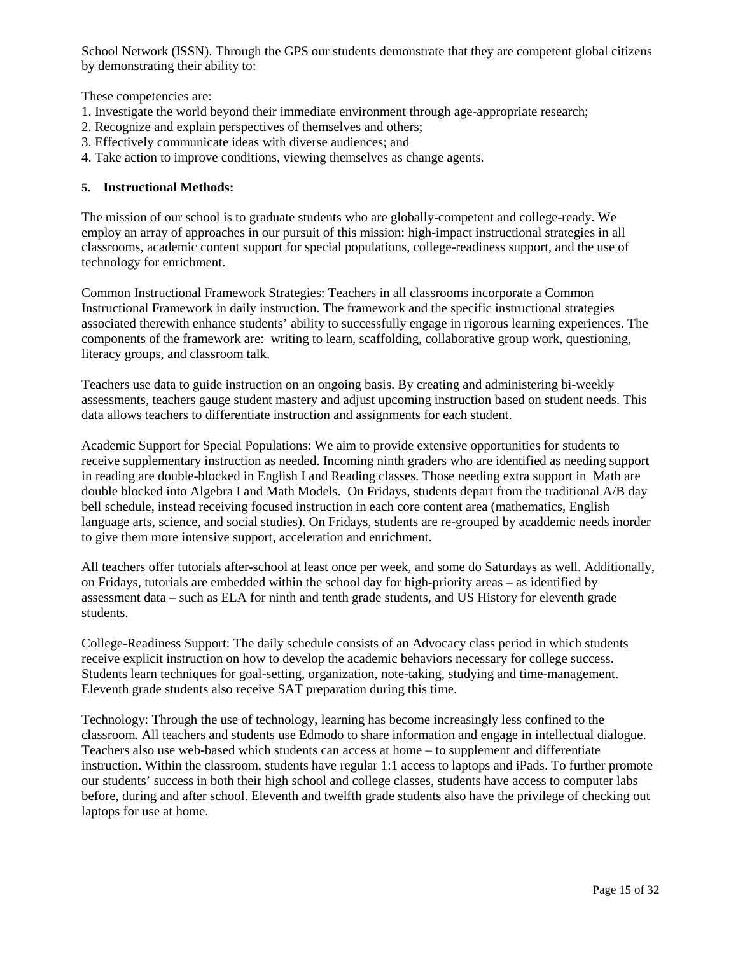School Network (ISSN). Through the GPS our students demonstrate that they are competent global citizens by demonstrating their ability to:

These competencies are:

- 1. Investigate the world beyond their immediate environment through age-appropriate research;
- 2. Recognize and explain perspectives of themselves and others;
- 3. Effectively communicate ideas with diverse audiences; and
- 4. Take action to improve conditions, viewing themselves as change agents.

#### **5. Instructional Methods:**

The mission of our school is to graduate students who are globally-competent and college-ready. We employ an array of approaches in our pursuit of this mission: high-impact instructional strategies in all classrooms, academic content support for special populations, college-readiness support, and the use of technology for enrichment.

Common Instructional Framework Strategies: Teachers in all classrooms incorporate a Common Instructional Framework in daily instruction. The framework and the specific instructional strategies associated therewith enhance students' ability to successfully engage in rigorous learning experiences. The components of the framework are: writing to learn, scaffolding, collaborative group work, questioning, literacy groups, and classroom talk.

Teachers use data to guide instruction on an ongoing basis. By creating and administering bi-weekly assessments, teachers gauge student mastery and adjust upcoming instruction based on student needs. This data allows teachers to differentiate instruction and assignments for each student.

Academic Support for Special Populations: We aim to provide extensive opportunities for students to receive supplementary instruction as needed. Incoming ninth graders who are identified as needing support in reading are double-blocked in English I and Reading classes. Those needing extra support in Math are double blocked into Algebra I and Math Models. On Fridays, students depart from the traditional A/B day bell schedule, instead receiving focused instruction in each core content area (mathematics, English language arts, science, and social studies). On Fridays, students are re-grouped by acaddemic needs inorder to give them more intensive support, acceleration and enrichment.

All teachers offer tutorials after-school at least once per week, and some do Saturdays as well. Additionally, on Fridays, tutorials are embedded within the school day for high-priority areas – as identified by assessment data – such as ELA for ninth and tenth grade students, and US History for eleventh grade students.

College-Readiness Support: The daily schedule consists of an Advocacy class period in which students receive explicit instruction on how to develop the academic behaviors necessary for college success. Students learn techniques for goal-setting, organization, note-taking, studying and time-management. Eleventh grade students also receive SAT preparation during this time.

Technology: Through the use of technology, learning has become increasingly less confined to the classroom. All teachers and students use Edmodo to share information and engage in intellectual dialogue. Teachers also use web-based which students can access at home – to supplement and differentiate instruction. Within the classroom, students have regular 1:1 access to laptops and iPads. To further promote our students' success in both their high school and college classes, students have access to computer labs before, during and after school. Eleventh and twelfth grade students also have the privilege of checking out laptops for use at home.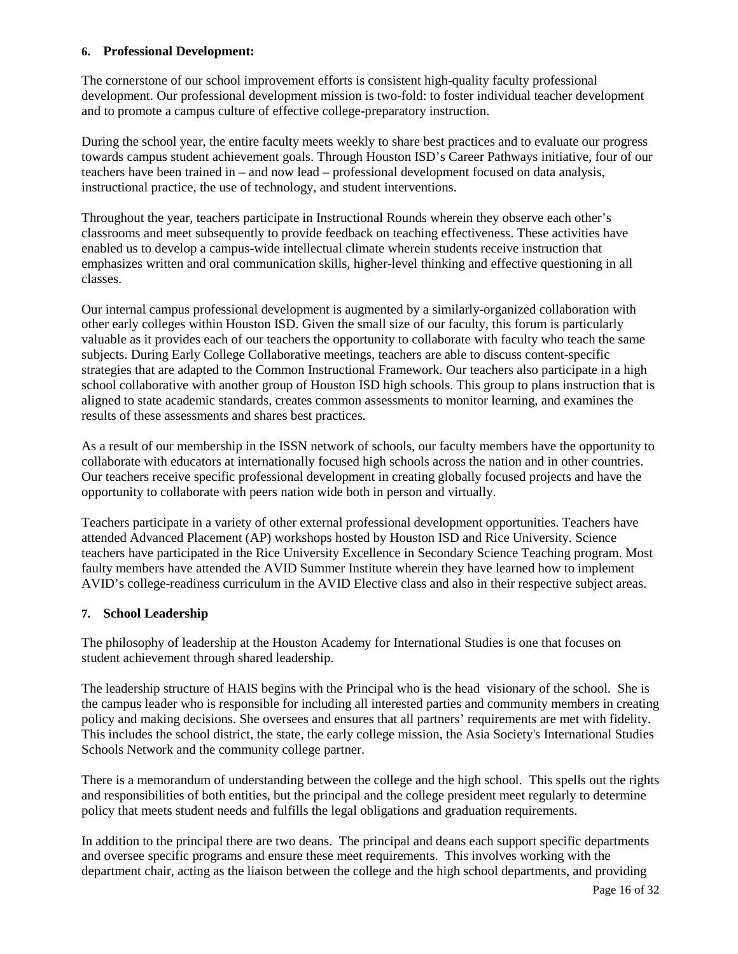#### **6. Professional Development:**

The cornerstone of our school improvement efforts is consistent high-quality faculty professional development. Our professional development mission is two-fold: to foster individual teacher development and to promote a campus culture of effective college-preparatory instruction.

During the school year, the entire faculty meets weekly to share best practices and to evaluate our progress towards campus student achievement goals. Through Houston ISD's Career Pathways initiative, four of our teachers have been trained in – and now lead – professional development focused on data analysis, instructional practice, the use of technology, and student interventions.

Throughout the year, teachers participate in Instructional Rounds wherein they observe each other's classrooms and meet subsequently to provide feedback on teaching effectiveness. These activities have enabled us to develop a campus-wide intellectual climate wherein students receive instruction that emphasizes written and oral communication skills, higher-level thinking and effective questioning in all classes.

Our internal campus professional development is augmented by a similarly-organized collaboration with other early colleges within Houston ISD. Given the small size of our faculty, this forum is particularly valuable as it provides each of our teachers the opportunity to collaborate with faculty who teach the same subjects. During Early College Collaborative meetings, teachers are able to discuss content-specific strategies that are adapted to the Common Instructional Framework. Our teachers also participate in a high school collaborative with another group of Houston ISD high schools. This group to plans instruction that is aligned to state academic standards, creates common assessments to monitor learning, and examines the results of these assessments and shares best practices.

As a result of our membership in the ISSN network of schools, our faculty members have the opportunity to collaborate with educators at internationally focused high schools across the nation and in other countries. Our teachers receive specific professional development in creating globally focused projects and have the opportunity to collaborate with peers nation wide both in person and virtually.

Teachers participate in a variety of other external professional development opportunities. Teachers have attended Advanced Placement (AP) workshops hosted by Houston ISD and Rice University. Science teachers have participated in the Rice University Excellence in Secondary Science Teaching program. Most faulty members have attended the AVID Summer Institute wherein they have learned how to implement AVID's college-readiness curriculum in the AVID Elective class and also in their respective subject areas.

#### **7. School Leadership**

The philosophy of leadership at the Houston Academy for International Studies is one that focuses on student achievement through shared leadership.

The leadership structure of HAIS begins with the Principal who is the head visionary of the school. She is the campus leader who is responsible for including all interested parties and community members in creating policy and making decisions. She oversees and ensures that all partners' requirements are met with fidelity. This includes the school district, the state, the early college mission, the Asia Society's International Studies Schools Network and the community college partner.

There is a memorandum of understanding between the college and the high school. This spells out the rights and responsibilities of both entities, but the principal and the college president meet regularly to determine policy that meets student needs and fulfills the legal obligations and graduation requirements.

In addition to the principal there are two deans. The principal and deans each support specific departments and oversee specific programs and ensure these meet requirements. This involves working with the department chair, acting as the liaison between the college and the high school departments, and providing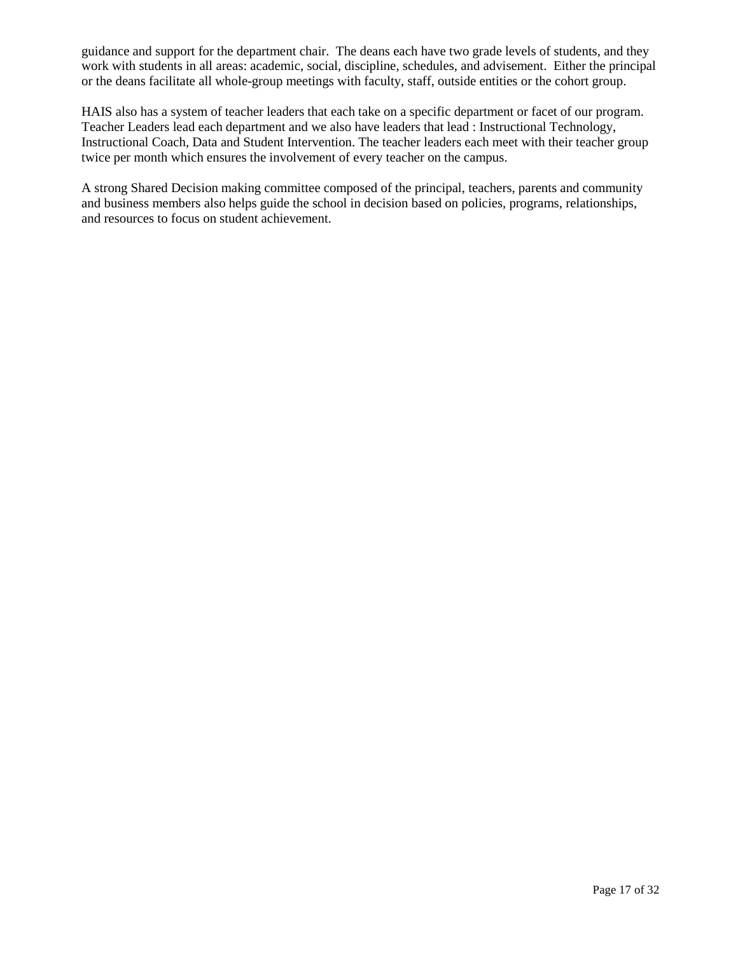guidance and support for the department chair. The deans each have two grade levels of students, and they work with students in all areas: academic, social, discipline, schedules, and advisement. Either the principal or the deans facilitate all whole-group meetings with faculty, staff, outside entities or the cohort group.

HAIS also has a system of teacher leaders that each take on a specific department or facet of our program. Teacher Leaders lead each department and we also have leaders that lead : Instructional Technology, Instructional Coach, Data and Student Intervention. The teacher leaders each meet with their teacher group twice per month which ensures the involvement of every teacher on the campus.

A strong Shared Decision making committee composed of the principal, teachers, parents and community and business members also helps guide the school in decision based on policies, programs, relationships, and resources to focus on student achievement.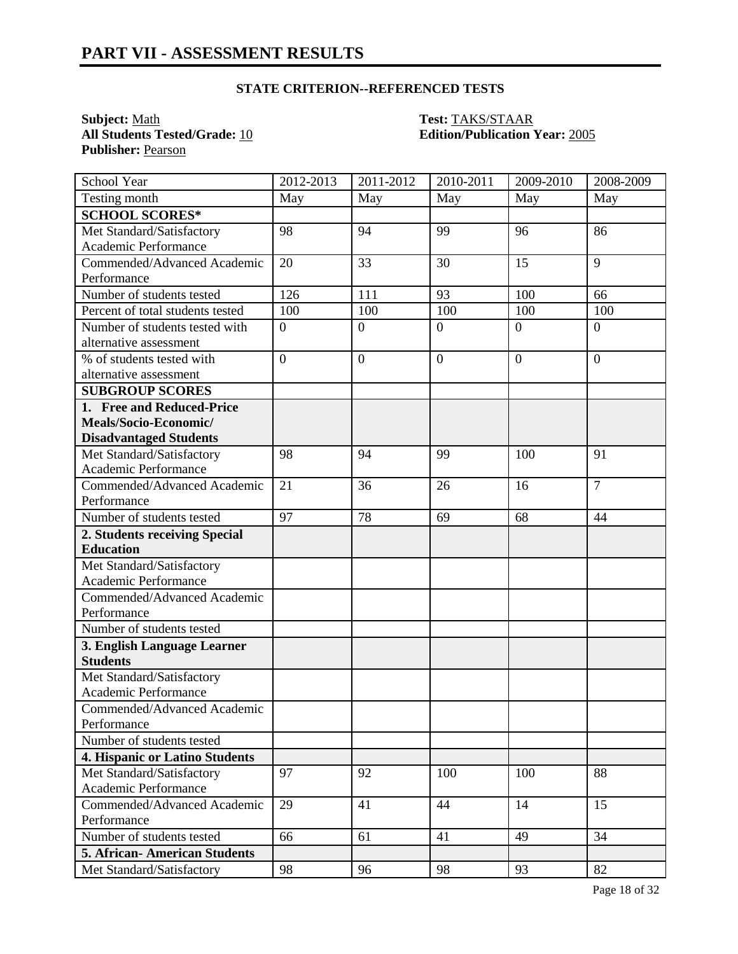**All Students Tested/Grade: 10** Publisher: Pearson

# **Subject:** <u>Math</u><br> **All Students Tested/Grade:** 10 **Test: TAKS/STAAR**<br> **Edition/Publication Year:** 2005

| School Year                                    | 2012-2013      | 2011-2012      | 2010-2011        | 2009-2010        | 2008-2009        |
|------------------------------------------------|----------------|----------------|------------------|------------------|------------------|
| Testing month                                  | May            | May            | May              | May              | May              |
| <b>SCHOOL SCORES*</b>                          |                |                |                  |                  |                  |
| Met Standard/Satisfactory                      | 98             | 94             | 99               | 96               | 86               |
| Academic Performance                           |                |                |                  |                  |                  |
| Commended/Advanced Academic                    | 20             | 33             | 30               | 15               | 9                |
| Performance                                    |                |                |                  |                  |                  |
| Number of students tested                      | 126            | 111            | 93               | 100              | 66               |
| Percent of total students tested               | 100            | 100            | 100              | 100              | 100              |
| Number of students tested with                 | $\overline{0}$ | $\overline{0}$ | $\boldsymbol{0}$ | $\boldsymbol{0}$ | $\boldsymbol{0}$ |
| alternative assessment                         |                |                |                  |                  |                  |
| % of students tested with                      | $\overline{0}$ | $\mathbf{0}$   | $\overline{0}$   | $\overline{0}$   | $\overline{0}$   |
| alternative assessment                         |                |                |                  |                  |                  |
| <b>SUBGROUP SCORES</b>                         |                |                |                  |                  |                  |
| 1. Free and Reduced-Price                      |                |                |                  |                  |                  |
| Meals/Socio-Economic/                          |                |                |                  |                  |                  |
| <b>Disadvantaged Students</b>                  |                |                |                  |                  |                  |
| Met Standard/Satisfactory                      | 98             | 94             | 99               | 100              | 91               |
| Academic Performance                           |                |                |                  |                  |                  |
| Commended/Advanced Academic                    | 21             | 36             | 26               | 16               | $\overline{7}$   |
| Performance                                    |                |                |                  |                  |                  |
| Number of students tested                      | 97             | 78             | 69               | 68               | 44               |
| 2. Students receiving Special                  |                |                |                  |                  |                  |
| <b>Education</b>                               |                |                |                  |                  |                  |
| Met Standard/Satisfactory                      |                |                |                  |                  |                  |
| Academic Performance                           |                |                |                  |                  |                  |
| Commended/Advanced Academic                    |                |                |                  |                  |                  |
| Performance                                    |                |                |                  |                  |                  |
| Number of students tested                      |                |                |                  |                  |                  |
| 3. English Language Learner<br><b>Students</b> |                |                |                  |                  |                  |
| Met Standard/Satisfactory                      |                |                |                  |                  |                  |
| Academic Performance                           |                |                |                  |                  |                  |
| Commended/Advanced Academic                    |                |                |                  |                  |                  |
| Performance                                    |                |                |                  |                  |                  |
| Number of students tested                      |                |                |                  |                  |                  |
| 4. Hispanic or Latino Students                 |                |                |                  |                  |                  |
| Met Standard/Satisfactory                      | 97             | 92             | 100              | 100              | 88               |
| Academic Performance                           |                |                |                  |                  |                  |
| Commended/Advanced Academic                    | 29             | 41             | 44               | 14               | 15               |
| Performance                                    |                |                |                  |                  |                  |
| Number of students tested                      | 66             | 61             | 41               | 49               | 34               |
| <b>5. African-American Students</b>            |                |                |                  |                  |                  |
| Met Standard/Satisfactory                      | 98             | 96             | 98               | 93               | 82               |
|                                                |                |                |                  |                  |                  |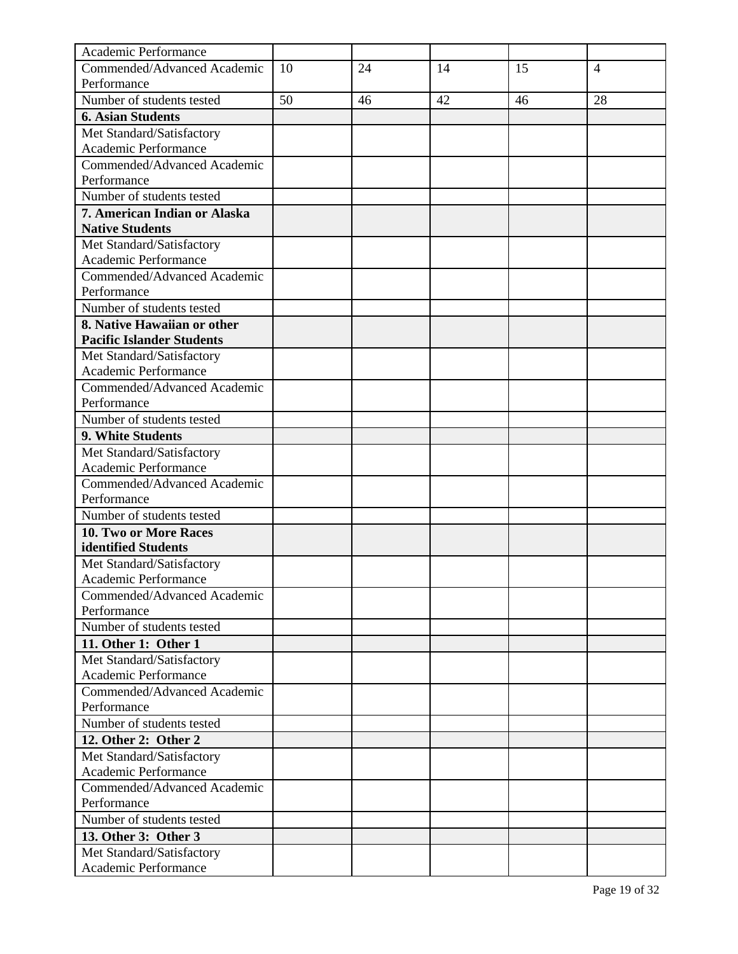| Academic Performance                              |    |    |    |    |                |
|---------------------------------------------------|----|----|----|----|----------------|
| Commended/Advanced Academic                       | 10 | 24 | 14 | 15 | $\overline{4}$ |
| Performance                                       |    |    |    |    |                |
| Number of students tested                         | 50 | 46 | 42 | 46 | 28             |
| <b>6. Asian Students</b>                          |    |    |    |    |                |
| Met Standard/Satisfactory                         |    |    |    |    |                |
| Academic Performance                              |    |    |    |    |                |
| Commended/Advanced Academic                       |    |    |    |    |                |
| Performance                                       |    |    |    |    |                |
| Number of students tested                         |    |    |    |    |                |
| 7. American Indian or Alaska                      |    |    |    |    |                |
| <b>Native Students</b>                            |    |    |    |    |                |
| Met Standard/Satisfactory                         |    |    |    |    |                |
| Academic Performance                              |    |    |    |    |                |
| Commended/Advanced Academic                       |    |    |    |    |                |
| Performance                                       |    |    |    |    |                |
| Number of students tested                         |    |    |    |    |                |
| 8. Native Hawaiian or other                       |    |    |    |    |                |
| <b>Pacific Islander Students</b>                  |    |    |    |    |                |
| Met Standard/Satisfactory                         |    |    |    |    |                |
| Academic Performance                              |    |    |    |    |                |
| Commended/Advanced Academic                       |    |    |    |    |                |
| Performance                                       |    |    |    |    |                |
| Number of students tested                         |    |    |    |    |                |
| 9. White Students                                 |    |    |    |    |                |
| Met Standard/Satisfactory                         |    |    |    |    |                |
| Academic Performance                              |    |    |    |    |                |
| Commended/Advanced Academic                       |    |    |    |    |                |
| Performance                                       |    |    |    |    |                |
| Number of students tested                         |    |    |    |    |                |
| 10. Two or More Races<br>identified Students      |    |    |    |    |                |
|                                                   |    |    |    |    |                |
| Met Standard/Satisfactory<br>Academic Performance |    |    |    |    |                |
| Commended/Advanced Academic                       |    |    |    |    |                |
| Performance                                       |    |    |    |    |                |
| Number of students tested                         |    |    |    |    |                |
| 11. Other 1: Other 1                              |    |    |    |    |                |
| Met Standard/Satisfactory                         |    |    |    |    |                |
| Academic Performance                              |    |    |    |    |                |
| Commended/Advanced Academic                       |    |    |    |    |                |
| Performance                                       |    |    |    |    |                |
| Number of students tested                         |    |    |    |    |                |
| 12. Other 2: Other 2                              |    |    |    |    |                |
| Met Standard/Satisfactory                         |    |    |    |    |                |
| Academic Performance                              |    |    |    |    |                |
| Commended/Advanced Academic                       |    |    |    |    |                |
| Performance                                       |    |    |    |    |                |
| Number of students tested                         |    |    |    |    |                |
| 13. Other 3: Other 3                              |    |    |    |    |                |
| Met Standard/Satisfactory                         |    |    |    |    |                |
| Academic Performance                              |    |    |    |    |                |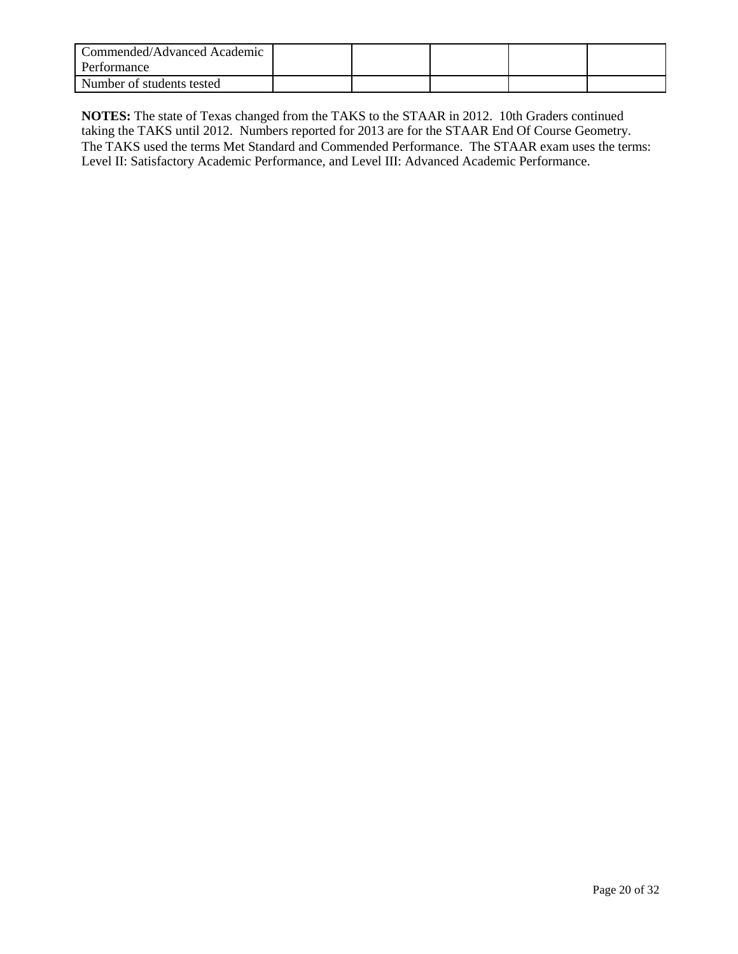| Commended/Advanced Academic<br>Performance |  |  |  |
|--------------------------------------------|--|--|--|
| Number of students tested                  |  |  |  |

**NOTES:** The state of Texas changed from the TAKS to the STAAR in 2012. 10th Graders continued taking the TAKS until 2012. Numbers reported for 2013 are for the STAAR End Of Course Geometry. The TAKS used the terms Met Standard and Commended Performance. The STAAR exam uses the terms: Level II: Satisfactory Academic Performance, and Level III: Advanced Academic Performance.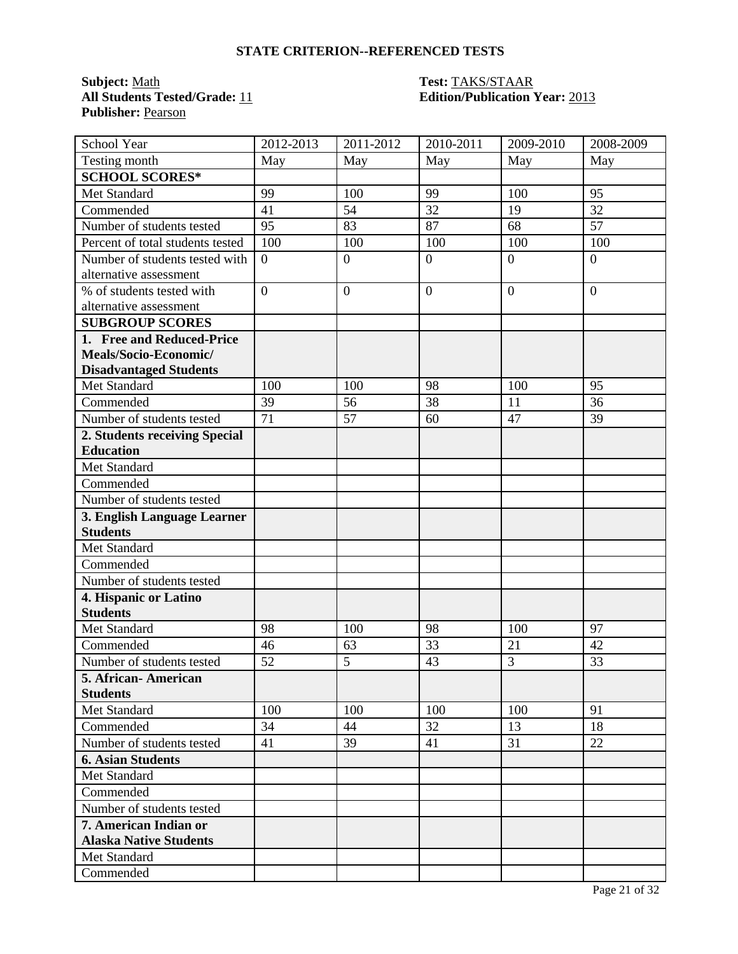**Subject:** <u>Math</u><br> **All Students Tested/Grade:** 11 **Test: TAKS/STAAR**<br> **Edition/Publication Publisher:** Pearson

### **Edition/Publication Year: 2013**

| School Year                      | 2012-2013        | 2011-2012        | 2010-2011      | 2009-2010        | 2008-2009      |
|----------------------------------|------------------|------------------|----------------|------------------|----------------|
| Testing month                    | May              | May              | May            | May              | May            |
| <b>SCHOOL SCORES*</b>            |                  |                  |                |                  |                |
| Met Standard                     | 99               | 100              | 99             | 100              | 95             |
| Commended                        | 41               | 54               | 32             | 19               | 32             |
| Number of students tested        | 95               | 83               | 87             | 68               | 57             |
| Percent of total students tested | 100              | 100              | 100            | 100              | 100            |
| Number of students tested with   | $\overline{0}$   | $\boldsymbol{0}$ | $\overline{0}$ | $\overline{0}$   | $\overline{0}$ |
| alternative assessment           |                  |                  |                |                  |                |
| % of students tested with        | $\boldsymbol{0}$ | $\boldsymbol{0}$ | $\mathbf{0}$   | $\boldsymbol{0}$ | $\overline{0}$ |
| alternative assessment           |                  |                  |                |                  |                |
| <b>SUBGROUP SCORES</b>           |                  |                  |                |                  |                |
| 1. Free and Reduced-Price        |                  |                  |                |                  |                |
| Meals/Socio-Economic/            |                  |                  |                |                  |                |
| <b>Disadvantaged Students</b>    |                  |                  |                |                  |                |
| Met Standard                     | 100              | 100              | 98             | 100              | 95             |
| Commended                        | 39               | 56               | 38             | 11               | 36             |
| Number of students tested        | 71               | 57               | 60             | 47               | 39             |
| 2. Students receiving Special    |                  |                  |                |                  |                |
| <b>Education</b>                 |                  |                  |                |                  |                |
| Met Standard                     |                  |                  |                |                  |                |
| Commended                        |                  |                  |                |                  |                |
| Number of students tested        |                  |                  |                |                  |                |
| 3. English Language Learner      |                  |                  |                |                  |                |
| <b>Students</b>                  |                  |                  |                |                  |                |
| Met Standard                     |                  |                  |                |                  |                |
| Commended                        |                  |                  |                |                  |                |
| Number of students tested        |                  |                  |                |                  |                |
| 4. Hispanic or Latino            |                  |                  |                |                  |                |
| <b>Students</b>                  |                  |                  |                |                  |                |
| Met Standard                     | 98               | 100              | 98             | 100              | 97             |
| Commended                        | 46               | 63               | 33             | 21               | 42             |
| Number of students tested        | 52               | 5                | 43             | $\overline{3}$   | 33             |
| 5. African-American              |                  |                  |                |                  |                |
| <b>Students</b>                  |                  |                  |                |                  |                |
| Met Standard                     | 100              | 100              | 100            | 100              | 91             |
| Commended                        | 34               | 44               | 32             | 13               | 18             |
| Number of students tested        | 41               | 39               | 41             | 31               | 22             |
| <b>6. Asian Students</b>         |                  |                  |                |                  |                |
| Met Standard                     |                  |                  |                |                  |                |
| Commended                        |                  |                  |                |                  |                |
| Number of students tested        |                  |                  |                |                  |                |
| 7. American Indian or            |                  |                  |                |                  |                |
| <b>Alaska Native Students</b>    |                  |                  |                |                  |                |
| Met Standard                     |                  |                  |                |                  |                |
| Commended                        |                  |                  |                |                  |                |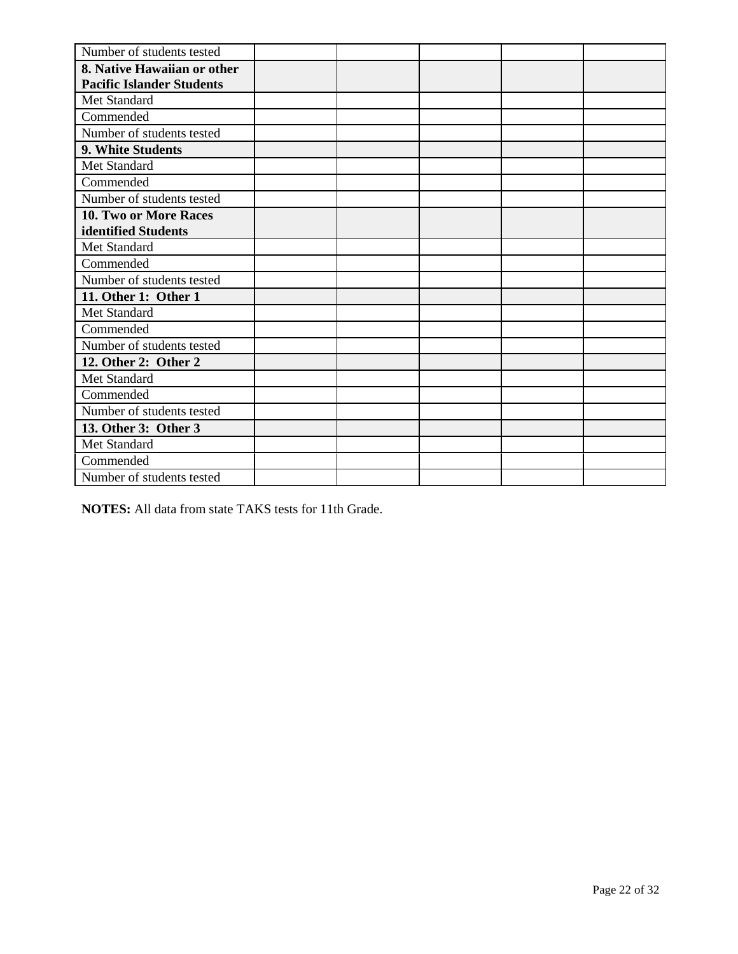| Number of students tested        |  |  |  |
|----------------------------------|--|--|--|
| 8. Native Hawaiian or other      |  |  |  |
| <b>Pacific Islander Students</b> |  |  |  |
| Met Standard                     |  |  |  |
| Commended                        |  |  |  |
| Number of students tested        |  |  |  |
| 9. White Students                |  |  |  |
| Met Standard                     |  |  |  |
| Commended                        |  |  |  |
| Number of students tested        |  |  |  |
| 10. Two or More Races            |  |  |  |
| identified Students              |  |  |  |
| Met Standard                     |  |  |  |
| Commended                        |  |  |  |
| Number of students tested        |  |  |  |
| 11. Other 1: Other 1             |  |  |  |
| Met Standard                     |  |  |  |
| Commended                        |  |  |  |
| Number of students tested        |  |  |  |
| 12. Other 2: Other 2             |  |  |  |
| Met Standard                     |  |  |  |
| Commended                        |  |  |  |
| Number of students tested        |  |  |  |
| 13. Other 3: Other 3             |  |  |  |
| Met Standard                     |  |  |  |
| Commended                        |  |  |  |
| Number of students tested        |  |  |  |

**NOTES:** All data from state TAKS tests for 11th Grade.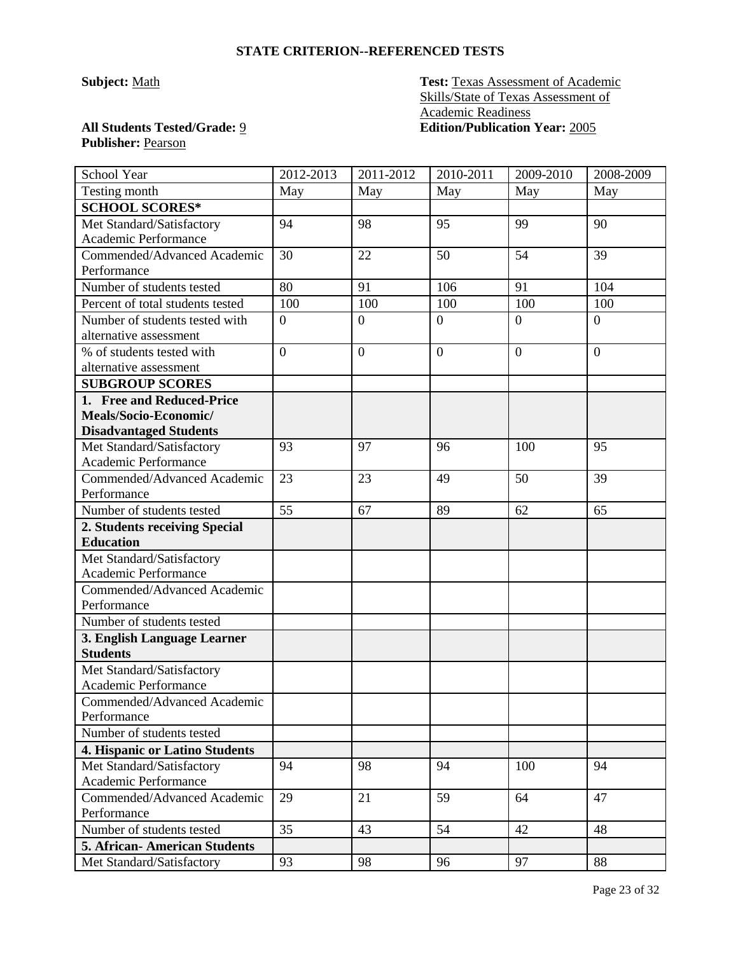**Subject:** Math **Test:** Texas Assessment of Academic Skills/State of Texas Assessment of Academic Readiness **All Students Tested/Grade:** 9 **Edition/Publication Year:** 2005

## **Publisher:** Pearson

| School Year                         | 2012-2013        | 2011-2012        | 2010-2011        | 2009-2010      | 2008-2009      |
|-------------------------------------|------------------|------------------|------------------|----------------|----------------|
| Testing month                       | May              | May              | May              | May            | May            |
| <b>SCHOOL SCORES*</b>               |                  |                  |                  |                |                |
| Met Standard/Satisfactory           | 94               | 98               | 95               | 99             | 90             |
| Academic Performance                |                  |                  |                  |                |                |
| Commended/Advanced Academic         | 30               | 22               | 50               | 54             | 39             |
| Performance                         |                  |                  |                  |                |                |
| Number of students tested           | 80               | 91               | 106              | 91             | 104            |
| Percent of total students tested    | 100              | 100              | 100              | 100            | 100            |
| Number of students tested with      | $\boldsymbol{0}$ | $\boldsymbol{0}$ | $\overline{0}$   | $\mathbf{0}$   | $\overline{0}$ |
| alternative assessment              |                  |                  |                  |                |                |
| % of students tested with           | $\overline{0}$   | $\overline{0}$   | $\boldsymbol{0}$ | $\overline{0}$ | $\overline{0}$ |
| alternative assessment              |                  |                  |                  |                |                |
| <b>SUBGROUP SCORES</b>              |                  |                  |                  |                |                |
| 1. Free and Reduced-Price           |                  |                  |                  |                |                |
| Meals/Socio-Economic/               |                  |                  |                  |                |                |
| <b>Disadvantaged Students</b>       |                  |                  |                  |                |                |
| Met Standard/Satisfactory           | 93               | 97               | 96               | 100            | 95             |
| Academic Performance                |                  |                  |                  |                |                |
| Commended/Advanced Academic         | 23               | 23               | 49               | 50             | 39             |
| Performance                         |                  |                  |                  |                |                |
| Number of students tested           | 55               | 67               | 89               | 62             | 65             |
| 2. Students receiving Special       |                  |                  |                  |                |                |
| <b>Education</b>                    |                  |                  |                  |                |                |
| Met Standard/Satisfactory           |                  |                  |                  |                |                |
| Academic Performance                |                  |                  |                  |                |                |
| Commended/Advanced Academic         |                  |                  |                  |                |                |
| Performance                         |                  |                  |                  |                |                |
| Number of students tested           |                  |                  |                  |                |                |
| 3. English Language Learner         |                  |                  |                  |                |                |
| <b>Students</b>                     |                  |                  |                  |                |                |
| Met Standard/Satisfactory           |                  |                  |                  |                |                |
| Academic Performance                |                  |                  |                  |                |                |
| Commended/Advanced Academic         |                  |                  |                  |                |                |
| Performance                         |                  |                  |                  |                |                |
| Number of students tested           |                  |                  |                  |                |                |
| 4. Hispanic or Latino Students      |                  |                  |                  |                |                |
| Met Standard/Satisfactory           | 94               | 98               | 94               | 100            | 94             |
| Academic Performance                |                  |                  |                  |                |                |
| Commended/Advanced Academic         | 29               | 21               | 59               | 64             | 47             |
| Performance                         |                  |                  |                  |                |                |
| Number of students tested           | 35               | 43               | 54               | 42             | 48             |
| <b>5. African-American Students</b> |                  |                  |                  |                |                |
| Met Standard/Satisfactory           | 93               | 98               | 96               | 97             | 88             |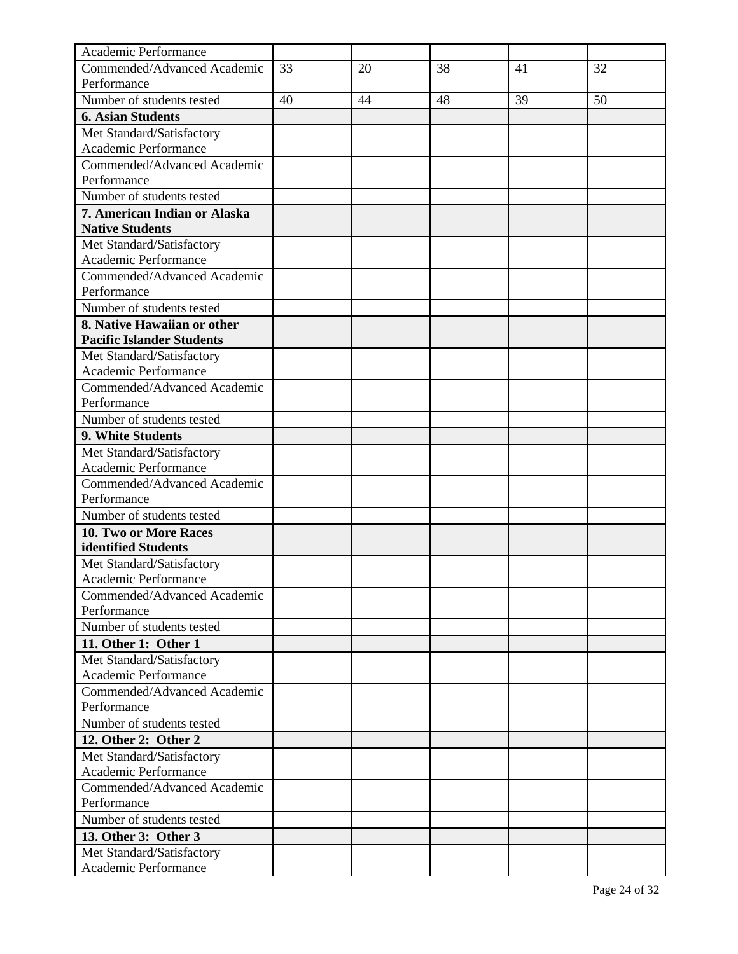| Academic Performance                                |    |    |    |    |    |
|-----------------------------------------------------|----|----|----|----|----|
| Commended/Advanced Academic                         | 33 | 20 | 38 | 41 | 32 |
| Performance                                         |    |    |    |    |    |
| Number of students tested                           | 40 | 44 | 48 | 39 | 50 |
| <b>6. Asian Students</b>                            |    |    |    |    |    |
| Met Standard/Satisfactory                           |    |    |    |    |    |
| Academic Performance                                |    |    |    |    |    |
| Commended/Advanced Academic                         |    |    |    |    |    |
| Performance                                         |    |    |    |    |    |
| Number of students tested                           |    |    |    |    |    |
| 7. American Indian or Alaska                        |    |    |    |    |    |
| <b>Native Students</b>                              |    |    |    |    |    |
| Met Standard/Satisfactory                           |    |    |    |    |    |
| Academic Performance                                |    |    |    |    |    |
| Commended/Advanced Academic                         |    |    |    |    |    |
| Performance                                         |    |    |    |    |    |
| Number of students tested                           |    |    |    |    |    |
| 8. Native Hawaiian or other                         |    |    |    |    |    |
| <b>Pacific Islander Students</b>                    |    |    |    |    |    |
| Met Standard/Satisfactory                           |    |    |    |    |    |
| Academic Performance                                |    |    |    |    |    |
| Commended/Advanced Academic                         |    |    |    |    |    |
| Performance                                         |    |    |    |    |    |
| Number of students tested                           |    |    |    |    |    |
| 9. White Students                                   |    |    |    |    |    |
| Met Standard/Satisfactory                           |    |    |    |    |    |
| Academic Performance                                |    |    |    |    |    |
| Commended/Advanced Academic                         |    |    |    |    |    |
| Performance                                         |    |    |    |    |    |
| Number of students tested                           |    |    |    |    |    |
| 10. Two or More Races                               |    |    |    |    |    |
| identified Students                                 |    |    |    |    |    |
| Met Standard/Satisfactory                           |    |    |    |    |    |
| Academic Performance<br>Commended/Advanced Academic |    |    |    |    |    |
| Performance                                         |    |    |    |    |    |
| Number of students tested                           |    |    |    |    |    |
| 11. Other 1: Other 1                                |    |    |    |    |    |
| Met Standard/Satisfactory                           |    |    |    |    |    |
| Academic Performance                                |    |    |    |    |    |
| Commended/Advanced Academic                         |    |    |    |    |    |
| Performance                                         |    |    |    |    |    |
| Number of students tested                           |    |    |    |    |    |
| 12. Other 2: Other 2                                |    |    |    |    |    |
| Met Standard/Satisfactory                           |    |    |    |    |    |
| Academic Performance                                |    |    |    |    |    |
| Commended/Advanced Academic                         |    |    |    |    |    |
| Performance                                         |    |    |    |    |    |
| Number of students tested                           |    |    |    |    |    |
| 13. Other 3: Other 3                                |    |    |    |    |    |
| Met Standard/Satisfactory                           |    |    |    |    |    |
| Academic Performance                                |    |    |    |    |    |
|                                                     |    |    |    |    |    |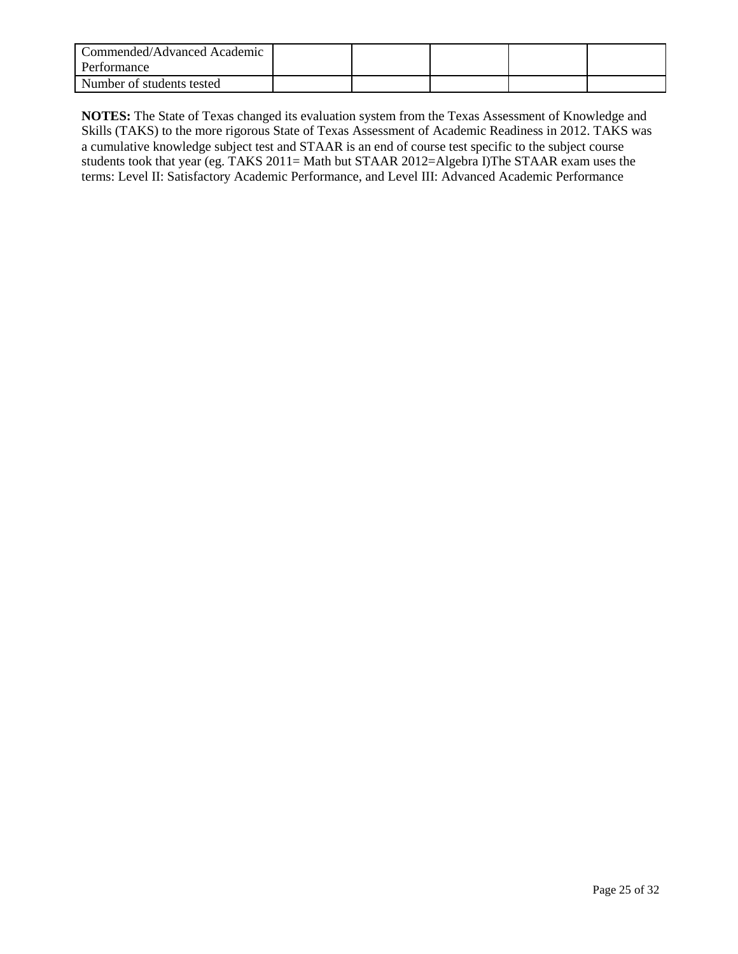| Commended/Advanced Academic<br>Performance |  |  |  |
|--------------------------------------------|--|--|--|
| Number of students tested                  |  |  |  |

**NOTES:** The State of Texas changed its evaluation system from the Texas Assessment of Knowledge and Skills (TAKS) to the more rigorous State of Texas Assessment of Academic Readiness in 2012. TAKS was a cumulative knowledge subject test and STAAR is an end of course test specific to the subject course students took that year (eg. TAKS 2011= Math but STAAR 2012=Algebra I)The STAAR exam uses the terms: Level II: Satisfactory Academic Performance, and Level III: Advanced Academic Performance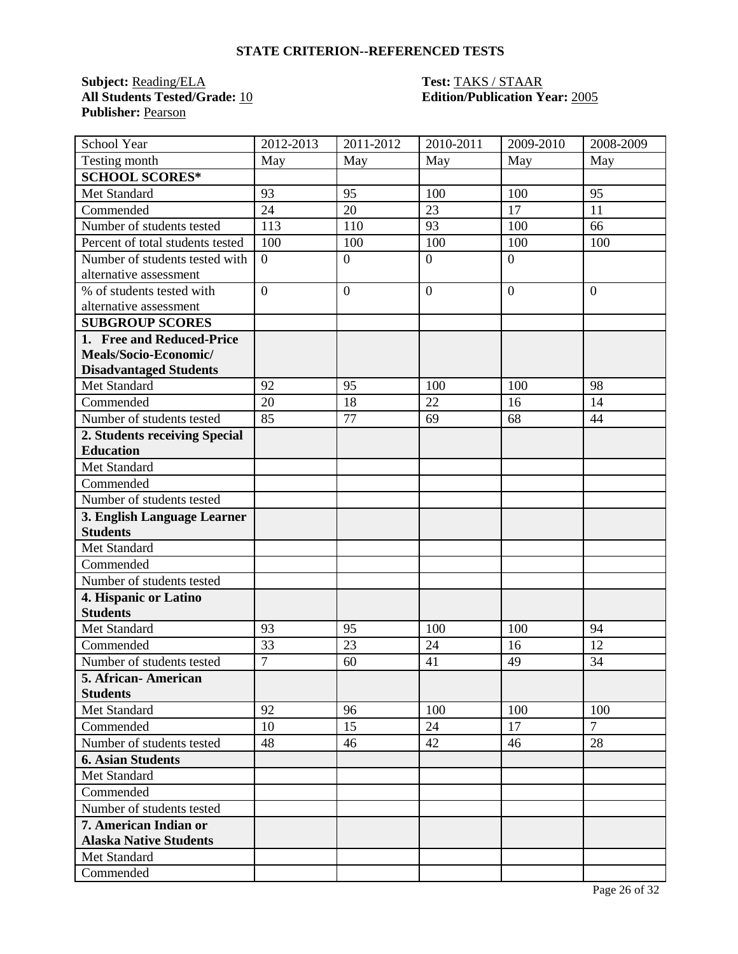**Subject:** Reading/ELA **Test:** TAKS / STAAR **All Students Tested/Grade:** 10 **Edition/Publication Year:** 2005 **Publisher:** Pearson

| School Year                      | 2012-2013      | 2011-2012        | 2010-2011    | 2009-2010      | 2008-2009      |
|----------------------------------|----------------|------------------|--------------|----------------|----------------|
| Testing month                    | May            | May              | May          | May            | May            |
| <b>SCHOOL SCORES*</b>            |                |                  |              |                |                |
| Met Standard                     | 93             | 95               | 100          | 100            | 95             |
| Commended                        | 24             | 20               | 23           | 17             | 11             |
| Number of students tested        | 113            | 110              | 93           | 100            | 66             |
| Percent of total students tested | 100            | 100              | 100          | 100            | 100            |
| Number of students tested with   | $\overline{0}$ | $\boldsymbol{0}$ | $\mathbf{0}$ | $\overline{0}$ |                |
| alternative assessment           |                |                  |              |                |                |
| % of students tested with        | $\overline{0}$ | $\overline{0}$   | $\mathbf{0}$ | $\overline{0}$ | $\overline{0}$ |
| alternative assessment           |                |                  |              |                |                |
| <b>SUBGROUP SCORES</b>           |                |                  |              |                |                |
| 1. Free and Reduced-Price        |                |                  |              |                |                |
| Meals/Socio-Economic/            |                |                  |              |                |                |
| <b>Disadvantaged Students</b>    |                |                  |              |                |                |
| <b>Met Standard</b>              | 92             | 95               | 100          | 100            | 98             |
| Commended                        | 20             | 18               | 22           | 16             | 14             |
| Number of students tested        | 85             | 77               | 69           | 68             | 44             |
| 2. Students receiving Special    |                |                  |              |                |                |
| <b>Education</b>                 |                |                  |              |                |                |
| Met Standard                     |                |                  |              |                |                |
| Commended                        |                |                  |              |                |                |
| Number of students tested        |                |                  |              |                |                |
| 3. English Language Learner      |                |                  |              |                |                |
| <b>Students</b>                  |                |                  |              |                |                |
| Met Standard                     |                |                  |              |                |                |
| Commended                        |                |                  |              |                |                |
| Number of students tested        |                |                  |              |                |                |
| 4. Hispanic or Latino            |                |                  |              |                |                |
| <b>Students</b>                  |                |                  |              |                |                |
| Met Standard                     | 93             | 95               | 100          | 100            | 94             |
| Commended                        | 33             | 23               | 24           | 16             | 12             |
| Number of students tested        | $\overline{7}$ | 60               | 41           | 49             | 34             |
| 5. African-American              |                |                  |              |                |                |
| <b>Students</b>                  |                |                  |              |                |                |
| Met Standard                     | 92             | 96               | 100          | 100            | 100            |
| Commended                        | 10             | 15               | 24           | 17             | $\overline{7}$ |
| Number of students tested        | 48             | 46               | 42           | 46             | 28             |
| <b>6. Asian Students</b>         |                |                  |              |                |                |
| Met Standard                     |                |                  |              |                |                |
| Commended                        |                |                  |              |                |                |
| Number of students tested        |                |                  |              |                |                |
| 7. American Indian or            |                |                  |              |                |                |
| <b>Alaska Native Students</b>    |                |                  |              |                |                |
| Met Standard                     |                |                  |              |                |                |
| Commended                        |                |                  |              |                |                |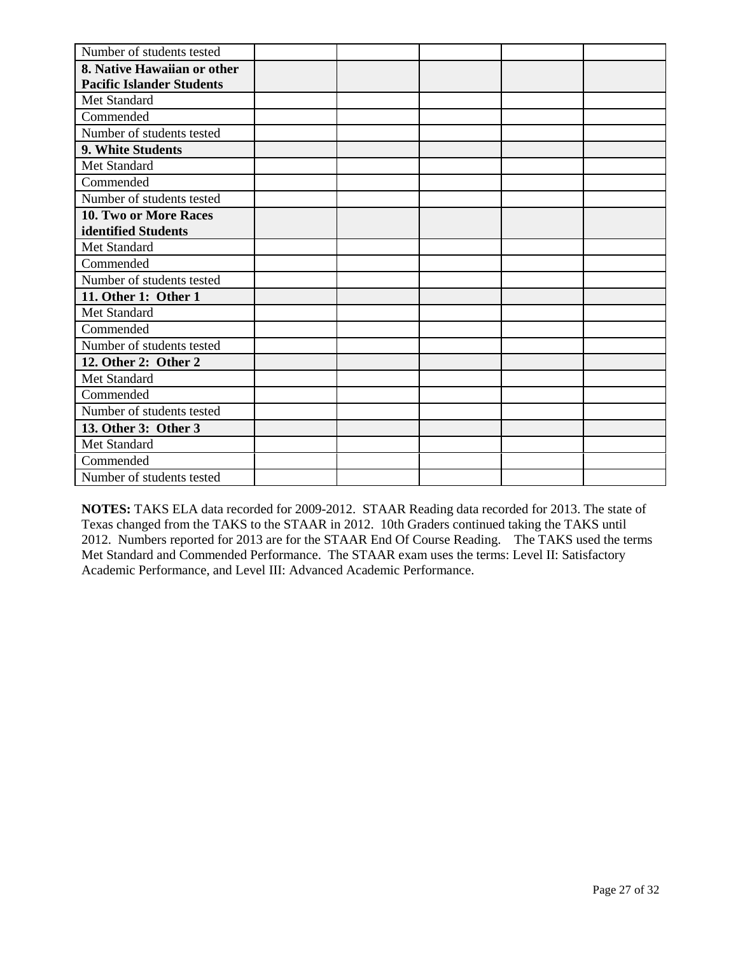| Number of students tested        |  |  |  |
|----------------------------------|--|--|--|
| 8. Native Hawaiian or other      |  |  |  |
| <b>Pacific Islander Students</b> |  |  |  |
| Met Standard                     |  |  |  |
| Commended                        |  |  |  |
| Number of students tested        |  |  |  |
| 9. White Students                |  |  |  |
| Met Standard                     |  |  |  |
| Commended                        |  |  |  |
| Number of students tested        |  |  |  |
| <b>10. Two or More Races</b>     |  |  |  |
| identified Students              |  |  |  |
| Met Standard                     |  |  |  |
| Commended                        |  |  |  |
| Number of students tested        |  |  |  |
| 11. Other 1: Other 1             |  |  |  |
| Met Standard                     |  |  |  |
| Commended                        |  |  |  |
| Number of students tested        |  |  |  |
| 12. Other 2: Other 2             |  |  |  |
| Met Standard                     |  |  |  |
| Commended                        |  |  |  |
| Number of students tested        |  |  |  |
| 13. Other 3: Other 3             |  |  |  |
| Met Standard                     |  |  |  |
| Commended                        |  |  |  |
| Number of students tested        |  |  |  |

**NOTES:** TAKS ELA data recorded for 2009-2012. STAAR Reading data recorded for 2013. The state of Texas changed from the TAKS to the STAAR in 2012. 10th Graders continued taking the TAKS until 2012. Numbers reported for 2013 are for the STAAR End Of Course Reading. The TAKS used the terms Met Standard and Commended Performance. The STAAR exam uses the terms: Level II: Satisfactory Academic Performance, and Level III: Advanced Academic Performance.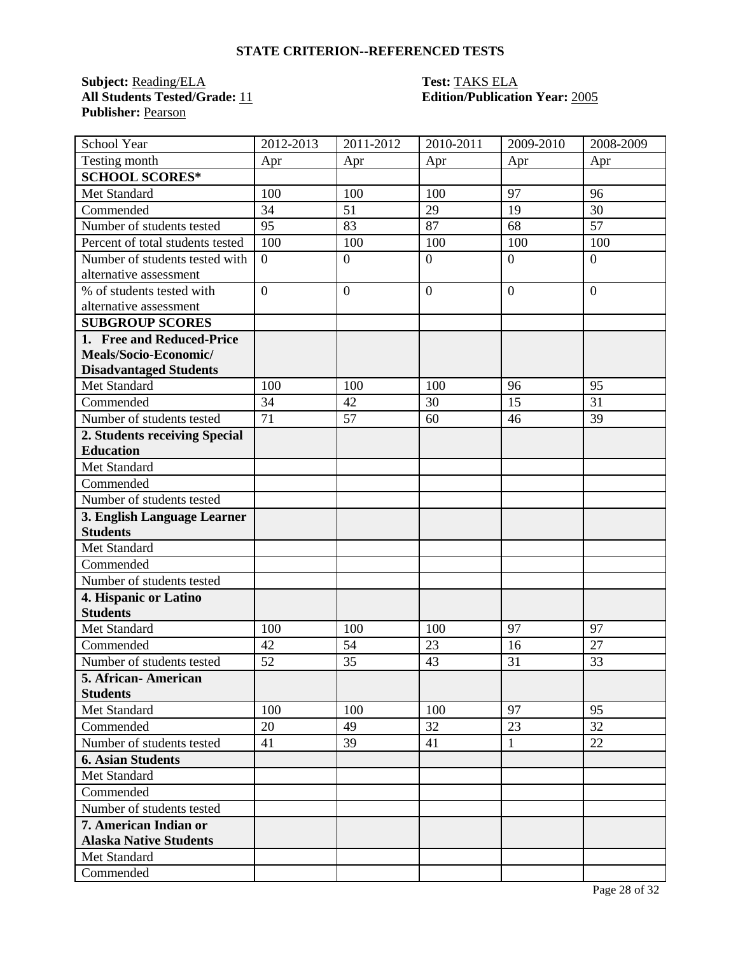**Subject:** Reading/ELA **Test:** TAKS ELA **All Students Tested/Grade:** 11 **Edition/Publication Year:** 2005 **Publisher:** Pearson

| School Year                      | 2012-2013        | 2011-2012      | 2010-2011      | 2009-2010      | 2008-2009      |
|----------------------------------|------------------|----------------|----------------|----------------|----------------|
| Testing month                    | Apr              | Apr            | Apr            | Apr            | Apr            |
| <b>SCHOOL SCORES*</b>            |                  |                |                |                |                |
| Met Standard                     | 100              | 100            | 100            | 97             | 96             |
| Commended                        | 34               | 51             | 29             | 19             | 30             |
| Number of students tested        | 95               | 83             | 87             | 68             | 57             |
| Percent of total students tested | 100              | 100            | 100            | 100            | 100            |
| Number of students tested with   | $\boldsymbol{0}$ | $\mathbf{0}$   | $\overline{0}$ | $\overline{0}$ | $\overline{0}$ |
| alternative assessment           |                  |                |                |                |                |
| % of students tested with        | $\overline{0}$   | $\overline{0}$ | $\overline{0}$ | $\overline{0}$ | $\overline{0}$ |
| alternative assessment           |                  |                |                |                |                |
| <b>SUBGROUP SCORES</b>           |                  |                |                |                |                |
| 1. Free and Reduced-Price        |                  |                |                |                |                |
| Meals/Socio-Economic/            |                  |                |                |                |                |
| <b>Disadvantaged Students</b>    |                  |                |                |                |                |
| Met Standard                     | 100              | 100            | 100            | 96             | 95             |
| Commended                        | 34               | 42             | 30             | 15             | 31             |
| Number of students tested        | 71               | 57             | 60             | 46             | 39             |
| 2. Students receiving Special    |                  |                |                |                |                |
| <b>Education</b>                 |                  |                |                |                |                |
| Met Standard                     |                  |                |                |                |                |
| Commended                        |                  |                |                |                |                |
| Number of students tested        |                  |                |                |                |                |
| 3. English Language Learner      |                  |                |                |                |                |
| <b>Students</b>                  |                  |                |                |                |                |
| Met Standard                     |                  |                |                |                |                |
| Commended                        |                  |                |                |                |                |
| Number of students tested        |                  |                |                |                |                |
| 4. Hispanic or Latino            |                  |                |                |                |                |
| <b>Students</b>                  |                  |                |                |                |                |
| Met Standard                     | 100              | 100            | 100            | 97             | 97             |
| Commended                        | 42               | 54             | 23             | 16             | 27             |
| Number of students tested        | 52               | 35             | 43             | 31             | 33             |
| 5. African-American              |                  |                |                |                |                |
| <b>Students</b>                  |                  |                |                |                |                |
| Met Standard                     | 100              | 100            | 100            | 97             | 95             |
| Commended                        | 20               | 49             | 32             | 23             | 32             |
| Number of students tested        | 41               | 39             | 41             | $\mathbf{1}$   | 22             |
| <b>6. Asian Students</b>         |                  |                |                |                |                |
| Met Standard                     |                  |                |                |                |                |
| Commended                        |                  |                |                |                |                |
| Number of students tested        |                  |                |                |                |                |
| 7. American Indian or            |                  |                |                |                |                |
| <b>Alaska Native Students</b>    |                  |                |                |                |                |
| Met Standard                     |                  |                |                |                |                |
| Commended                        |                  |                |                |                |                |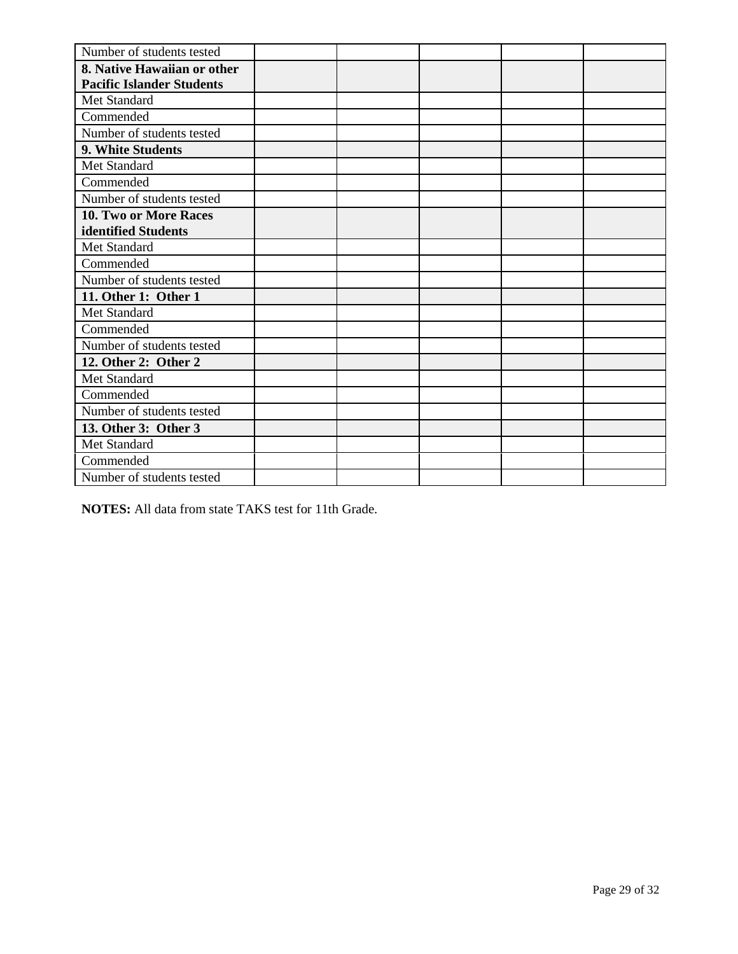| Number of students tested                                       |  |  |  |
|-----------------------------------------------------------------|--|--|--|
| 8. Native Hawaiian or other<br><b>Pacific Islander Students</b> |  |  |  |
| Met Standard                                                    |  |  |  |
| Commended                                                       |  |  |  |
| Number of students tested                                       |  |  |  |
| 9. White Students                                               |  |  |  |
| Met Standard                                                    |  |  |  |
| Commended                                                       |  |  |  |
| Number of students tested                                       |  |  |  |
| 10. Two or More Races                                           |  |  |  |
| identified Students                                             |  |  |  |
| Met Standard                                                    |  |  |  |
| Commended                                                       |  |  |  |
| Number of students tested                                       |  |  |  |
| 11. Other 1: Other 1                                            |  |  |  |
| Met Standard                                                    |  |  |  |
| Commended                                                       |  |  |  |
| Number of students tested                                       |  |  |  |
| 12. Other 2: Other 2                                            |  |  |  |
| Met Standard                                                    |  |  |  |
| Commended                                                       |  |  |  |
| Number of students tested                                       |  |  |  |
| 13. Other 3: Other 3                                            |  |  |  |
| Met Standard                                                    |  |  |  |
| Commended                                                       |  |  |  |
| Number of students tested                                       |  |  |  |

**NOTES:** All data from state TAKS test for 11th Grade.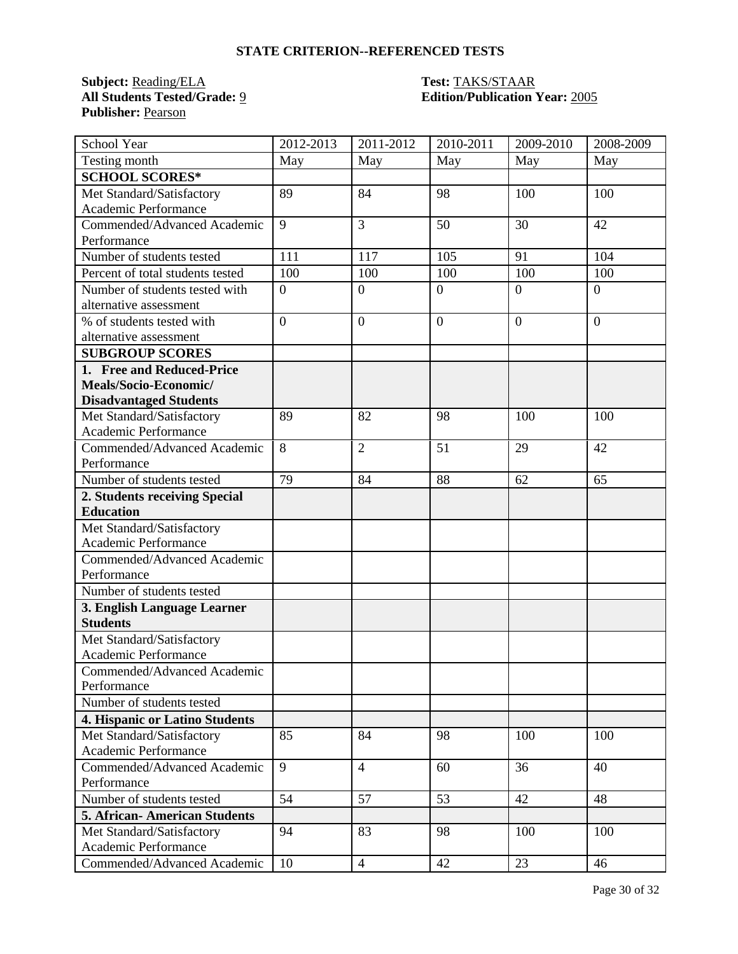**Subject:** <u>Reading/ELA</u> **Test: TAKS/STAAR**<br> **All Students Tested/Grade:** <u>9</u> **Test: Edition/Publication Publisher:** Pearson

## **All Students Tested/Grade:** 9 **Edition/Publication Year:** 2005

| School Year                         | 2012-2013        | 2011-2012        | 2010-2011      | 2009-2010      | 2008-2009      |
|-------------------------------------|------------------|------------------|----------------|----------------|----------------|
| Testing month                       | May              | May              | May            | May            | May            |
| <b>SCHOOL SCORES*</b>               |                  |                  |                |                |                |
| Met Standard/Satisfactory           | 89               | 84               | 98             | 100            | 100            |
| Academic Performance                |                  |                  |                |                |                |
| Commended/Advanced Academic         | 9                | 3                | 50             | 30             | 42             |
| Performance                         |                  |                  |                |                |                |
| Number of students tested           | 111              | 117              | 105            | 91             | 104            |
| Percent of total students tested    | 100              | 100              | 100            | 100            | 100            |
| Number of students tested with      | $\boldsymbol{0}$ | $\overline{0}$   | $\overline{0}$ | $\overline{0}$ | $\overline{0}$ |
| alternative assessment              |                  |                  |                |                |                |
| % of students tested with           | $\overline{0}$   | $\boldsymbol{0}$ | $\overline{0}$ | $\overline{0}$ | $\overline{0}$ |
| alternative assessment              |                  |                  |                |                |                |
| <b>SUBGROUP SCORES</b>              |                  |                  |                |                |                |
| 1. Free and Reduced-Price           |                  |                  |                |                |                |
| Meals/Socio-Economic/               |                  |                  |                |                |                |
| <b>Disadvantaged Students</b>       |                  |                  |                |                |                |
| Met Standard/Satisfactory           | 89               | 82               | 98             | 100            | 100            |
| Academic Performance                |                  |                  |                |                |                |
| Commended/Advanced Academic         | 8                | $\overline{2}$   | 51             | 29             | 42             |
| Performance                         |                  |                  |                |                |                |
| Number of students tested           | 79               | 84               | 88             | 62             | 65             |
| 2. Students receiving Special       |                  |                  |                |                |                |
| <b>Education</b>                    |                  |                  |                |                |                |
| Met Standard/Satisfactory           |                  |                  |                |                |                |
| Academic Performance                |                  |                  |                |                |                |
| Commended/Advanced Academic         |                  |                  |                |                |                |
| Performance                         |                  |                  |                |                |                |
| Number of students tested           |                  |                  |                |                |                |
| 3. English Language Learner         |                  |                  |                |                |                |
| <b>Students</b>                     |                  |                  |                |                |                |
| Met Standard/Satisfactory           |                  |                  |                |                |                |
| Academic Performance                |                  |                  |                |                |                |
| Commended/Advanced Academic         |                  |                  |                |                |                |
| Performance                         |                  |                  |                |                |                |
| Number of students tested           |                  |                  |                |                |                |
| 4. Hispanic or Latino Students      |                  |                  |                |                |                |
| Met Standard/Satisfactory           | 85               | 84               | 98             | 100            | 100            |
| Academic Performance                |                  |                  |                |                |                |
| Commended/Advanced Academic         | 9                | $\overline{4}$   | 60             | 36             | 40             |
| Performance                         |                  |                  |                |                |                |
| Number of students tested           | 54               | 57               | 53             | 42             | 48             |
| <b>5. African-American Students</b> |                  |                  |                |                |                |
| Met Standard/Satisfactory           | 94               | 83               | 98             | 100            | 100            |
| Academic Performance                |                  |                  |                |                |                |
| Commended/Advanced Academic         | 10               | $\overline{4}$   | 42             | 23             | 46             |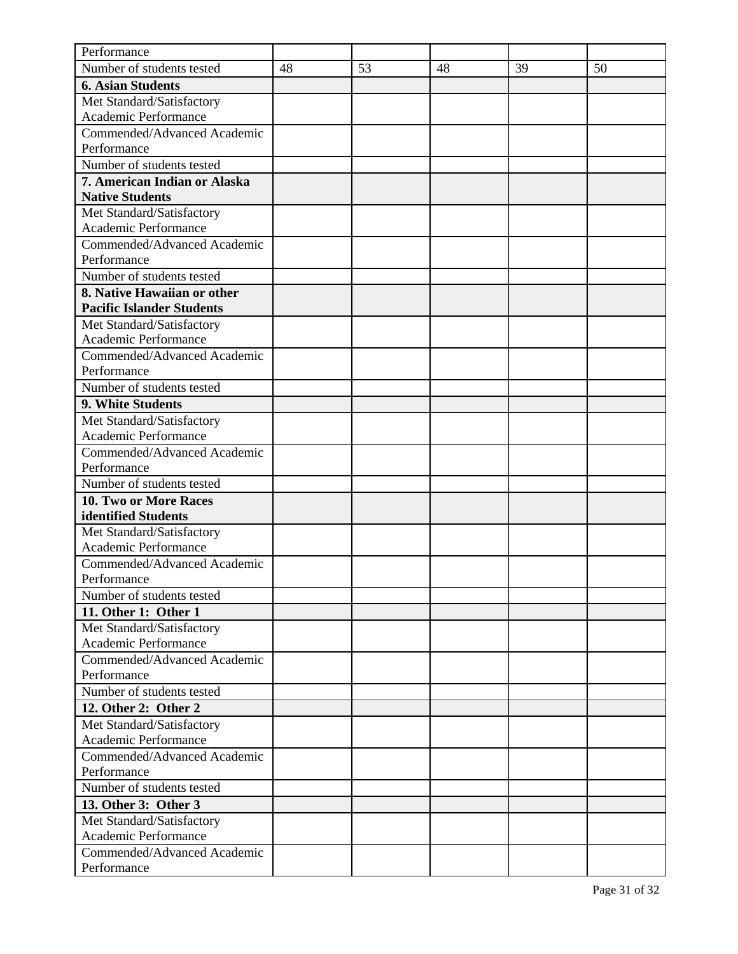| Performance                                         |    |    |    |    |    |
|-----------------------------------------------------|----|----|----|----|----|
| Number of students tested                           | 48 | 53 | 48 | 39 | 50 |
| <b>6. Asian Students</b>                            |    |    |    |    |    |
| Met Standard/Satisfactory                           |    |    |    |    |    |
| Academic Performance                                |    |    |    |    |    |
| Commended/Advanced Academic                         |    |    |    |    |    |
| Performance                                         |    |    |    |    |    |
| Number of students tested                           |    |    |    |    |    |
| 7. American Indian or Alaska                        |    |    |    |    |    |
| <b>Native Students</b>                              |    |    |    |    |    |
| Met Standard/Satisfactory                           |    |    |    |    |    |
| Academic Performance                                |    |    |    |    |    |
| Commended/Advanced Academic                         |    |    |    |    |    |
| Performance                                         |    |    |    |    |    |
| Number of students tested                           |    |    |    |    |    |
| 8. Native Hawaiian or other                         |    |    |    |    |    |
| <b>Pacific Islander Students</b>                    |    |    |    |    |    |
| Met Standard/Satisfactory                           |    |    |    |    |    |
| Academic Performance                                |    |    |    |    |    |
| Commended/Advanced Academic                         |    |    |    |    |    |
| Performance                                         |    |    |    |    |    |
| Number of students tested                           |    |    |    |    |    |
| 9. White Students                                   |    |    |    |    |    |
| Met Standard/Satisfactory                           |    |    |    |    |    |
| Academic Performance                                |    |    |    |    |    |
| Commended/Advanced Academic                         |    |    |    |    |    |
| Performance                                         |    |    |    |    |    |
| Number of students tested                           |    |    |    |    |    |
| <b>10. Two or More Races</b>                        |    |    |    |    |    |
| identified Students                                 |    |    |    |    |    |
| Met Standard/Satisfactory                           |    |    |    |    |    |
| Academic Performance                                |    |    |    |    |    |
| Commended/Advanced Academic                         |    |    |    |    |    |
| Performance                                         |    |    |    |    |    |
| Number of students tested                           |    |    |    |    |    |
| 11. Other 1: Other 1                                |    |    |    |    |    |
| Met Standard/Satisfactory                           |    |    |    |    |    |
| Academic Performance<br>Commended/Advanced Academic |    |    |    |    |    |
| Performance                                         |    |    |    |    |    |
| Number of students tested                           |    |    |    |    |    |
| 12. Other 2: Other 2                                |    |    |    |    |    |
|                                                     |    |    |    |    |    |
| Met Standard/Satisfactory<br>Academic Performance   |    |    |    |    |    |
| Commended/Advanced Academic                         |    |    |    |    |    |
| Performance                                         |    |    |    |    |    |
| Number of students tested                           |    |    |    |    |    |
| 13. Other 3: Other 3                                |    |    |    |    |    |
| Met Standard/Satisfactory                           |    |    |    |    |    |
| Academic Performance                                |    |    |    |    |    |
| Commended/Advanced Academic                         |    |    |    |    |    |
| Performance                                         |    |    |    |    |    |
|                                                     |    |    |    |    |    |